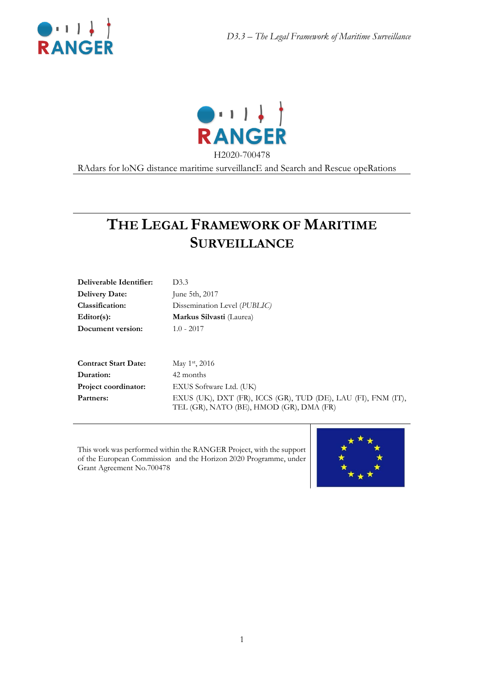



RAdars for loNG distance maritime surveillancE and Search and Rescue opeRations

# **THE LEGAL FRAMEWORK OF MARITIME SURVEILLANCE**

| Deliverable Identifier:     | D3.3                                                                                                      |  |  |
|-----------------------------|-----------------------------------------------------------------------------------------------------------|--|--|
| <b>Delivery Date:</b>       | June 5th, 2017                                                                                            |  |  |
| <b>Classification:</b>      | Dissemination Level (PUBLIC)                                                                              |  |  |
| $Editor(s)$ :               | Markus Silvasti (Laurea)                                                                                  |  |  |
| Document version:           | $1.0 - 2017$                                                                                              |  |  |
|                             |                                                                                                           |  |  |
| <b>Contract Start Date:</b> | May 1 <sup>st</sup> , 2016                                                                                |  |  |
| Duration:                   | 42 months                                                                                                 |  |  |
| Project coordinator:        | EXUS Software Ltd. (UK)                                                                                   |  |  |
| Partners:                   | EXUS (UK), DXT (FR), ICCS (GR), TUD (DE), LAU (FI), FNM (IT),<br>TEL (GR), NATO (BE), HMOD (GR), DMA (FR) |  |  |

This work was performed within the RANGER Project, with the support of the European Commission and the Horizon 2020 Programme, under Grant Agreement No.700478

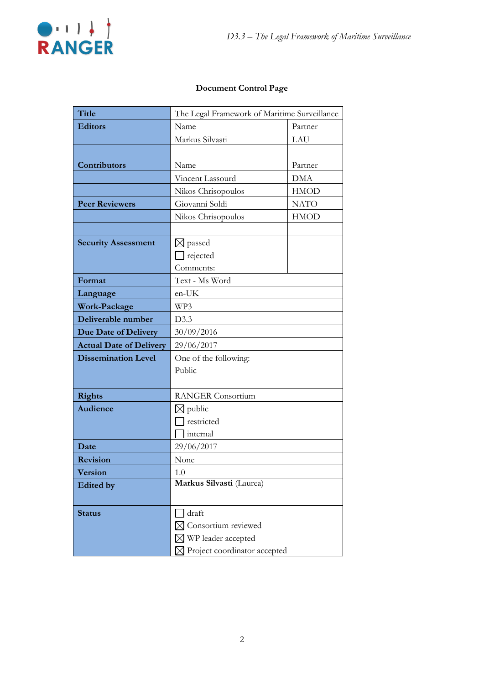

# **Document Control Page**

| <b>Title</b>                   | The Legal Framework of Maritime Surveillance |             |
|--------------------------------|----------------------------------------------|-------------|
| <b>Editors</b>                 | Name                                         | Partner     |
|                                | Markus Silvasti                              | LAU         |
|                                |                                              |             |
| Contributors                   | Name                                         | Partner     |
|                                | Vincent Lassourd                             | <b>DMA</b>  |
|                                | Nikos Chrisopoulos                           | <b>HMOD</b> |
| <b>Peer Reviewers</b>          | Giovanni Soldi                               | <b>NATO</b> |
|                                | Nikos Chrisopoulos                           | <b>HMOD</b> |
|                                |                                              |             |
| <b>Security Assessment</b>     | $\boxtimes$ passed                           |             |
|                                | rejected                                     |             |
|                                | Comments:                                    |             |
| Format                         | Text - Ms Word                               |             |
| Language                       | en-UK                                        |             |
| Work-Package                   | WP3                                          |             |
| Deliverable number             | D3.3                                         |             |
| <b>Due Date of Delivery</b>    | 30/09/2016                                   |             |
| <b>Actual Date of Delivery</b> | 29/06/2017                                   |             |
| <b>Dissemination Level</b>     | One of the following:                        |             |
|                                | Public                                       |             |
|                                |                                              |             |
| <b>Rights</b>                  | <b>RANGER</b> Consortium                     |             |
| <b>Audience</b>                | $\boxtimes$ public                           |             |
|                                | restricted                                   |             |
|                                | internal                                     |             |
| Date                           | 29/06/2017                                   |             |
| <b>Revision</b>                | None                                         |             |
| Version                        | 1.0                                          |             |
| <b>Edited by</b>               | Markus Silvasti (Laurea)                     |             |
|                                |                                              |             |
| <b>Status</b>                  | draft                                        |             |
|                                | $\times$ Consortium reviewed                 |             |
|                                | $\boxtimes$ WP leader accepted               |             |
|                                | $\boxtimes$ Project coordinator accepted     |             |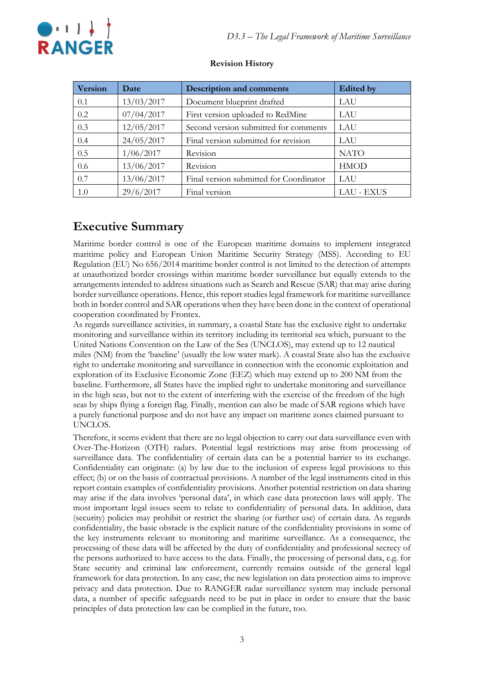

| <b>Version</b> | Date       | <b>Description and comments</b>         | <b>Edited by</b> |
|----------------|------------|-----------------------------------------|------------------|
| 0.1            | 13/03/2017 | Document blueprint drafted              | LAU              |
| 0.2            | 07/04/2017 | First version uploaded to RedMine       | LAU              |
| 0.3            | 12/05/2017 | Second version submitted for comments   | LAU              |
| 0.4            | 24/05/2017 | Final version submitted for revision    | LAU              |
| 0.5            | 1/06/2017  | Revision                                | <b>NATO</b>      |
| 0.6            | 13/06/2017 | Revision                                | <b>HMOD</b>      |
| 0.7            | 13/06/2017 | Final version submitted for Coordinator | <b>LAU</b>       |
| 1.0            | 29/6/2017  | Final version                           | LAU - EXUS       |

#### **Revision History**

# **Executive Summary**

Maritime border control is one of the European maritime domains to implement integrated maritime policy and European Union Maritime Security Strategy (MSS). According to EU Regulation (EU) No 656/2014 maritime border control is not limited to the detection of attempts at unauthorized border crossings within maritime border surveillance but equally extends to the arrangements intended to address situations such as Search and Rescue (SAR) that may arise during border surveillance operations. Hence, this report studies legal framework for maritime surveillance both in border control and SAR operations when they have been done in the context of operational cooperation coordinated by Frontex.

As regards surveillance activities, in summary, a coastal State has the exclusive right to undertake monitoring and surveillance within its territory including its territorial sea which, pursuant to the United Nations Convention on the Law of the Sea (UNCLOS), may extend up to 12 nautical miles (NM) from the 'baseline' (usually the low water mark). A coastal State also has the exclusive right to undertake monitoring and surveillance in connection with the economic exploitation and exploration of its Exclusive Economic Zone (EEZ) which may extend up to 200 NM from the baseline. Furthermore, all States have the implied right to undertake monitoring and surveillance in the high seas, but not to the extent of interfering with the exercise of the freedom of the high seas by ships flying a foreign flag. Finally, mention can also be made of SAR regions which have a purely functional purpose and do not have any impact on maritime zones claimed pursuant to UNCLOS.

Therefore, it seems evident that there are no legal objection to carry out data surveillance even with Over-The-Horizon (OTH) radars. Potential legal restrictions may arise from processing of surveillance data. The confidentiality of certain data can be a potential barrier to its exchange. Confidentiality can originate: (a) by law due to the inclusion of express legal provisions to this effect; (b) or on the basis of contractual provisions. A number of the legal instruments cited in this report contain examples of confidentiality provisions. Another potential restriction on data sharing may arise if the data involves 'personal data', in which case data protection laws will apply. The most important legal issues seem to relate to confidentiality of personal data. In addition, data (security) policies may prohibit or restrict the sharing (or further use) of certain data. As regards confidentiality, the basic obstacle is the explicit nature of the confidentiality provisions in some of the key instruments relevant to monitoring and maritime surveillance. As a consequence, the processing of these data will be affected by the duty of confidentiality and professional secrecy of the persons authorized to have access to the data. Finally, the processing of personal data, e.g. for State security and criminal law enforcement, currently remains outside of the general legal framework for data protection. In any case, the new legislation on data protection aims to improve privacy and data protection. Due to RANGER radar surveillance system may include personal data, a number of specific safeguards need to be put in place in order to ensure that the basic principles of data protection law can be complied in the future, too.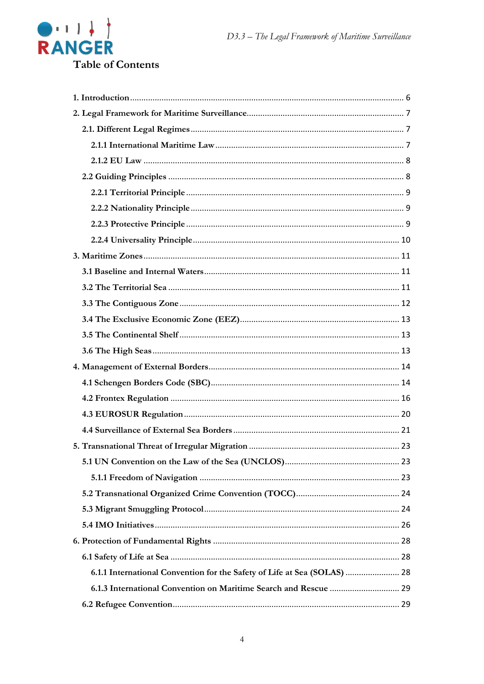

| 6.1.1 International Convention for the Safety of Life at Sea (SOLAS)  28 |
|--------------------------------------------------------------------------|
|                                                                          |
|                                                                          |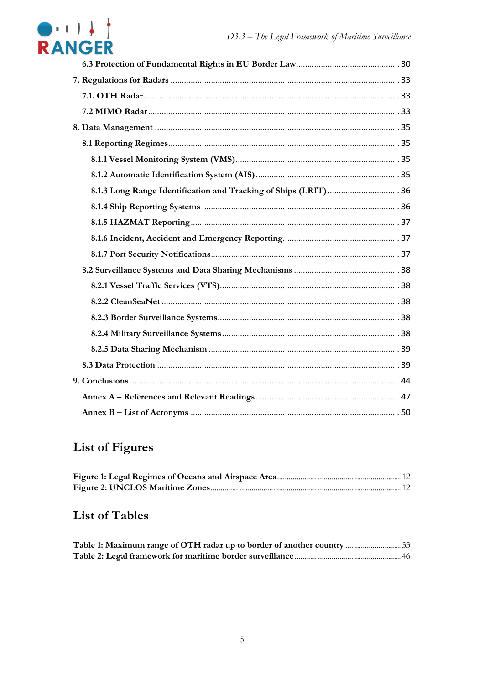

| 8.1.3 Long Range Identification and Tracking of Ships (LRIT)  36 |  |
|------------------------------------------------------------------|--|
|                                                                  |  |
|                                                                  |  |
|                                                                  |  |
|                                                                  |  |
|                                                                  |  |
|                                                                  |  |
|                                                                  |  |
|                                                                  |  |
|                                                                  |  |
|                                                                  |  |
|                                                                  |  |
|                                                                  |  |
|                                                                  |  |
|                                                                  |  |

# List of Figures

# **List of Tables**

| Table 1: Maximum range of OTH radar up to border of another country 33 |  |
|------------------------------------------------------------------------|--|
|                                                                        |  |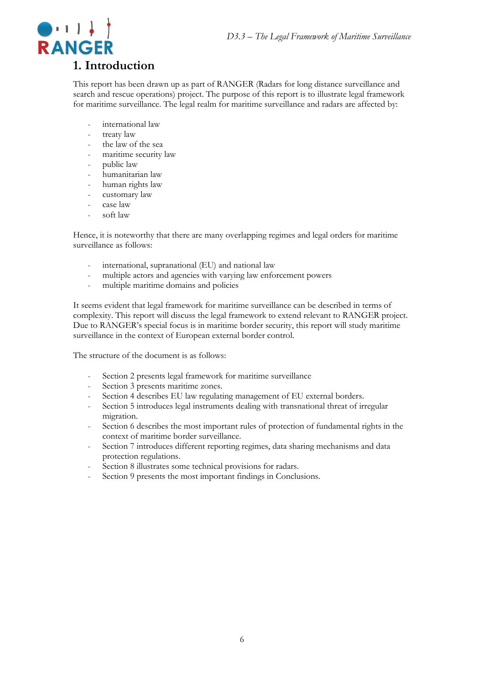

# <span id="page-5-0"></span>**1. Introduction**

This report has been drawn up as part of RANGER (Radars for long distance surveillance and search and rescue operations) project. The purpose of this report is to illustrate legal framework for maritime surveillance. The legal realm for maritime surveillance and radars are affected by:

- international law
- treaty law
- the law of the sea
- maritime security law
- public law
- humanitarian law
- human rights law
- customary law
- case law
- soft law

Hence, it is noteworthy that there are many overlapping regimes and legal orders for maritime surveillance as follows:

- international, supranational (EU) and national law
- multiple actors and agencies with varying law enforcement powers
- multiple maritime domains and policies

It seems evident that legal framework for maritime surveillance can be described in terms of complexity. This report will discuss the legal framework to extend relevant to RANGER project. Due to RANGER's special focus is in maritime border security, this report will study maritime surveillance in the context of European external border control.

The structure of the document is as follows:

- Section 2 presents legal framework for maritime surveillance
- Section 3 presents maritime zones.
- Section 4 describes EU law regulating management of EU external borders.
- Section 5 introduces legal instruments dealing with transnational threat of irregular migration.
- Section 6 describes the most important rules of protection of fundamental rights in the context of maritime border surveillance.
- Section 7 introduces different reporting regimes, data sharing mechanisms and data protection regulations.
- Section 8 illustrates some technical provisions for radars.
- Section 9 presents the most important findings in Conclusions.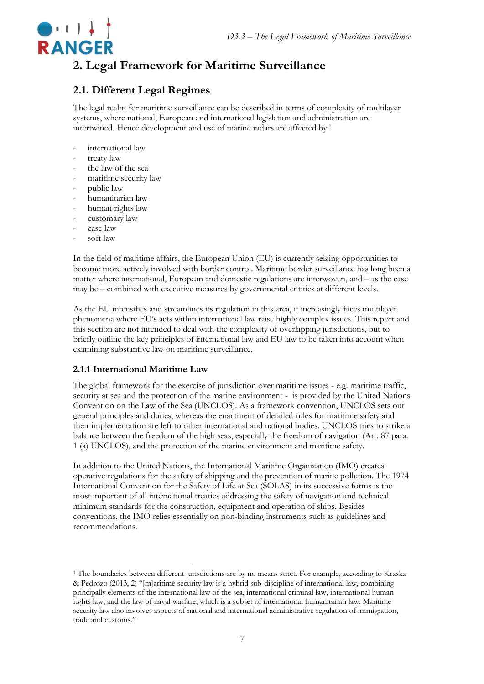

## <span id="page-6-1"></span><span id="page-6-0"></span>**2.1. Different Legal Regimes**

The legal realm for maritime surveillance can be described in terms of complexity of multilayer systems, where national, European and international legislation and administration are intertwined. Hence development and use of marine radars are affected by:<sup>1</sup>

- international law
- treaty law
- the law of the sea
- maritime security law
- public law
- humanitarian law
- human rights law
- customary law
- case law
- soft law

In the field of maritime affairs, the European Union (EU) is currently seizing opportunities to become more actively involved with border control. Maritime border surveillance has long been a matter where international, European and domestic regulations are interwoven, and – as the case may be – combined with executive measures by governmental entities at different levels.

As the EU intensifies and streamlines its regulation in this area, it increasingly faces multilayer phenomena where EU's acts within international law raise highly complex issues. This report and this section are not intended to deal with the complexity of overlapping jurisdictions, but to briefly outline the key principles of international law and EU law to be taken into account when examining substantive law on maritime surveillance.

## <span id="page-6-2"></span>**2.1.1 International Maritime Law**

The global framework for the exercise of jurisdiction over maritime issues - e.g. maritime traffic, security at sea and the protection of the marine environment - is provided by the United Nations Convention on the Law of the Sea (UNCLOS). As a framework convention, UNCLOS sets out general principles and duties, whereas the enactment of detailed rules for maritime safety and their implementation are left to other international and national bodies. UNCLOS tries to strike a balance between the freedom of the high seas, especially the freedom of navigation (Art. 87 para. 1 (a) UNCLOS), and the protection of the marine environment and maritime safety.

In addition to the United Nations, the International Maritime Organization (IMO) creates operative regulations for the safety of shipping and the prevention of marine pollution. The 1974 International Convention for the Safety of Life at Sea (SOLAS) in its successive forms is the most important of all international treaties addressing the safety of navigation and technical minimum standards for the construction, equipment and operation of ships. Besides conventions, the IMO relies essentially on non-binding instruments such as guidelines and recommendations.

**<sup>.</sup>** <sup>1</sup> The boundaries between different jurisdictions are by no means strict. For example, according to Kraska & Pedrozo (2013, 2) "[m]aritime security law is a hybrid sub-discipline of international law, combining principally elements of the international law of the sea, international criminal law, international human rights law, and the law of naval warfare, which is a subset of international humanitarian law. Maritime security law also involves aspects of national and international administrative regulation of immigration, trade and customs."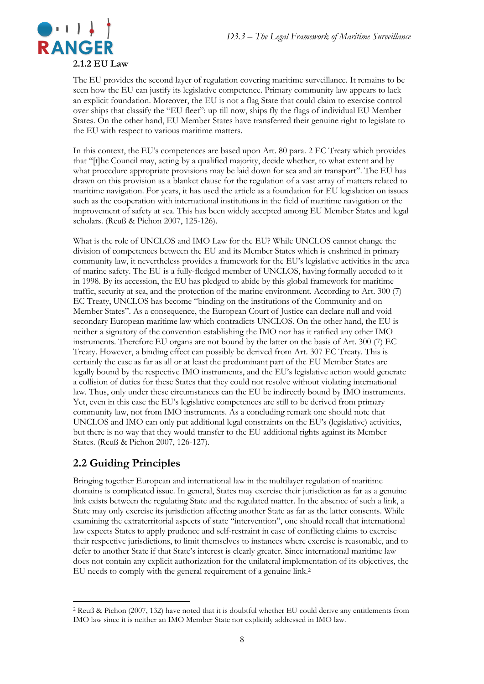

<span id="page-7-0"></span>The EU provides the second layer of regulation covering maritime surveillance. It remains to be seen how the EU can justify its legislative competence. Primary community law appears to lack an explicit foundation. Moreover, the EU is not a flag State that could claim to exercise control over ships that classify the "EU fleet": up till now, ships fly the flags of individual EU Member States. On the other hand, EU Member States have transferred their genuine right to legislate to the EU with respect to various maritime matters.

In this context, the EU's competences are based upon Art. 80 para. 2 EC Treaty which provides that "[t]he Council may, acting by a qualified majority, decide whether, to what extent and by what procedure appropriate provisions may be laid down for sea and air transport". The EU has drawn on this provision as a blanket clause for the regulation of a vast array of matters related to maritime navigation. For years, it has used the article as a foundation for EU legislation on issues such as the cooperation with international institutions in the field of maritime navigation or the improvement of safety at sea. This has been widely accepted among EU Member States and legal scholars. (Reuß & Pichon 2007, 125-126).

What is the role of UNCLOS and IMO Law for the EU? While UNCLOS cannot change the division of competences between the EU and its Member States which is enshrined in primary community law, it nevertheless provides a framework for the EU's legislative activities in the area of marine safety. The EU is a fully-fledged member of UNCLOS, having formally acceded to it in 1998. By its accession, the EU has pledged to abide by this global framework for maritime traffic, security at sea, and the protection of the marine environment. According to Art. 300 (7) EC Treaty, UNCLOS has become "binding on the institutions of the Community and on Member States". As a consequence, the European Court of Justice can declare null and void secondary European maritime law which contradicts UNCLOS. On the other hand, the EU is neither a signatory of the convention establishing the IMO nor has it ratified any other IMO instruments. Therefore EU organs are not bound by the latter on the basis of Art. 300 (7) EC Treaty. However, a binding effect can possibly be derived from Art. 307 EC Treaty. This is certainly the case as far as all or at least the predominant part of the EU Member States are legally bound by the respective IMO instruments, and the EU's legislative action would generate a collision of duties for these States that they could not resolve without violating international law. Thus, only under these circumstances can the EU be indirectly bound by IMO instruments. Yet, even in this case the EU's legislative competences are still to be derived from primary community law, not from IMO instruments. As a concluding remark one should note that UNCLOS and IMO can only put additional legal constraints on the EU's (legislative) activities, but there is no way that they would transfer to the EU additional rights against its Member States. (Reuß & Pichon 2007, 126-127).

# <span id="page-7-1"></span>**2.2 Guiding Principles**

Bringing together European and international law in the multilayer regulation of maritime domains is complicated issue. In general, States may exercise their jurisdiction as far as a genuine link exists between the regulating State and the regulated matter. In the absence of such a link, a State may only exercise its jurisdiction affecting another State as far as the latter consents. While examining the extraterritorial aspects of state "intervention", one should recall that international law expects States to apply prudence and self-restraint in case of conflicting claims to exercise their respective jurisdictions, to limit themselves to instances where exercise is reasonable, and to defer to another State if that State's interest is clearly greater. Since international maritime law does not contain any explicit authorization for the unilateral implementation of its objectives, the EU needs to comply with the general requirement of a genuine link.<sup>2</sup>

**<sup>.</sup>** <sup>2</sup> Reuß & Pichon (2007, 132) have noted that it is doubtful whether EU could derive any entitlements from IMO law since it is neither an IMO Member State nor explicitly addressed in IMO law.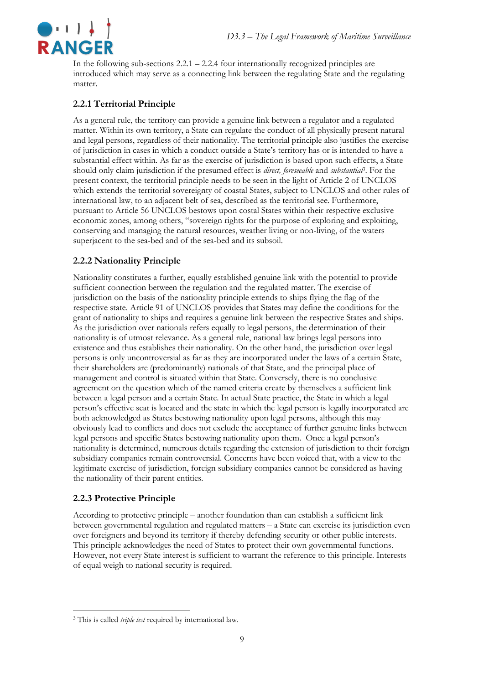

In the following sub-sections  $2.2.1 - 2.2.4$  four internationally recognized principles are introduced which may serve as a connecting link between the regulating State and the regulating matter.

## <span id="page-8-0"></span>**2.2.1 Territorial Principle**

As a general rule, the territory can provide a genuine link between a regulator and a regulated matter. Within its own territory, a State can regulate the conduct of all physically present natural and legal persons, regardless of their nationality. The territorial principle also justifies the exercise of jurisdiction in cases in which a conduct outside a State's territory has or is intended to have a substantial effect within. As far as the exercise of jurisdiction is based upon such effects, a State should only claim jurisdiction if the presumed effect is *direct, foreseeable* and *substantial<sup>3</sup>* . For the present context, the territorial principle needs to be seen in the light of Article 2 of UNCLOS which extends the territorial sovereignty of coastal States, subject to UNCLOS and other rules of international law, to an adjacent belt of sea, described as the territorial see. Furthermore, pursuant to Article 56 UNCLOS bestows upon costal States within their respective exclusive economic zones, among others, "sovereign rights for the purpose of exploring and exploiting, conserving and managing the natural resources, weather living or non-living, of the waters superjacent to the sea-bed and of the sea-bed and its subsoil.

## <span id="page-8-1"></span>**2.2.2 Nationality Principle**

Nationality constitutes a further, equally established genuine link with the potential to provide sufficient connection between the regulation and the regulated matter. The exercise of jurisdiction on the basis of the nationality principle extends to ships flying the flag of the respective state. Article 91 of UNCLOS provides that States may define the conditions for the grant of nationality to ships and requires a genuine link between the respective States and ships. As the jurisdiction over nationals refers equally to legal persons, the determination of their nationality is of utmost relevance. As a general rule, national law brings legal persons into existence and thus establishes their nationality. On the other hand, the jurisdiction over legal persons is only uncontroversial as far as they are incorporated under the laws of a certain State, their shareholders are (predominantly) nationals of that State, and the principal place of management and control is situated within that State. Conversely, there is no conclusive agreement on the question which of the named criteria create by themselves a sufficient link between a legal person and a certain State. In actual State practice, the State in which a legal person's effective seat is located and the state in which the legal person is legally incorporated are both acknowledged as States bestowing nationality upon legal persons, although this may obviously lead to conflicts and does not exclude the acceptance of further genuine links between legal persons and specific States bestowing nationality upon them. Once a legal person's nationality is determined, numerous details regarding the extension of jurisdiction to their foreign subsidiary companies remain controversial. Concerns have been voiced that, with a view to the legitimate exercise of jurisdiction, foreign subsidiary companies cannot be considered as having the nationality of their parent entities.

## <span id="page-8-2"></span>**2.2.3 Protective Principle**

According to protective principle – another foundation than can establish a sufficient link between governmental regulation and regulated matters – a State can exercise its jurisdiction even over foreigners and beyond its territory if thereby defending security or other public interests. This principle acknowledges the need of States to protect their own governmental functions. However, not every State interest is sufficient to warrant the reference to this principle. Interests of equal weigh to national security is required.

**<sup>.</sup>** <sup>3</sup> This is called *triple test* required by international law.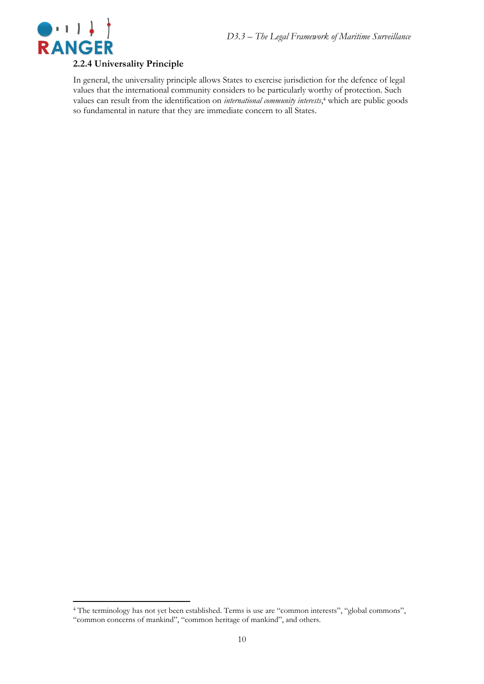

#### <span id="page-9-0"></span>**2.2.4 Universality Principle**

In general, the universality principle allows States to exercise jurisdiction for the defence of legal values that the international community considers to be particularly worthy of protection. Such values can result from the identification on *international community interests*, <sup>4</sup> which are public goods so fundamental in nature that they are immediate concern to all States.

**<sup>.</sup>** <sup>4</sup> The terminology has not yet been established. Terms is use are "common interests", "global commons", "common concerns of mankind", "common heritage of mankind", and others.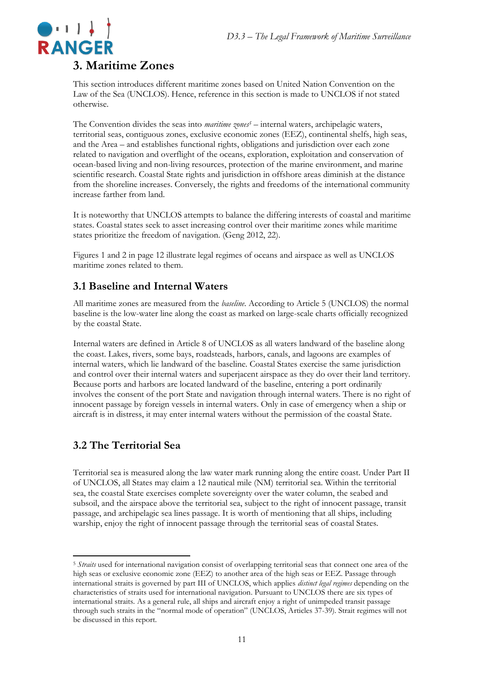

<span id="page-10-0"></span>This section introduces different maritime zones based on United Nation Convention on the Law of the Sea (UNCLOS). Hence, reference in this section is made to UNCLOS if not stated otherwise.

The Convention divides the seas into *maritime zones<sup>5</sup>* – internal waters, archipelagic waters, territorial seas, contiguous zones, exclusive economic zones (EEZ), continental shelfs, high seas, and the Area – and establishes functional rights, obligations and jurisdiction over each zone related to navigation and overflight of the oceans, exploration, exploitation and conservation of ocean-based living and non-living resources, protection of the marine environment, and marine scientific research. Coastal State rights and jurisdiction in offshore areas diminish at the distance from the shoreline increases. Conversely, the rights and freedoms of the international community increase farther from land.

It is noteworthy that UNCLOS attempts to balance the differing interests of coastal and maritime states. Coastal states seek to asset increasing control over their maritime zones while maritime states prioritize the freedom of navigation. (Geng 2012, 22).

Figures 1 and 2 in page 12 illustrate legal regimes of oceans and airspace as well as UNCLOS maritime zones related to them.

## <span id="page-10-1"></span>**3.1 Baseline and Internal Waters**

All maritime zones are measured from the *baseline*. According to Article 5 (UNCLOS) the normal baseline is the low-water line along the coast as marked on large-scale charts officially recognized by the coastal State.

Internal waters are defined in Article 8 of UNCLOS as all waters landward of the baseline along the coast. Lakes, rivers, some bays, roadsteads, harbors, canals, and lagoons are examples of internal waters, which lie landward of the baseline. Coastal States exercise the same jurisdiction and control over their internal waters and superjacent airspace as they do over their land territory. Because ports and harbors are located landward of the baseline, entering a port ordinarily involves the consent of the port State and navigation through internal waters. There is no right of innocent passage by foreign vessels in internal waters. Only in case of emergency when a ship or aircraft is in distress, it may enter internal waters without the permission of the coastal State.

## <span id="page-10-2"></span>**3.2 The Territorial Sea**

1

Territorial sea is measured along the law water mark running along the entire coast. Under Part II of UNCLOS, all States may claim a 12 nautical mile (NM) territorial sea. Within the territorial sea, the coastal State exercises complete sovereignty over the water column, the seabed and subsoil, and the airspace above the territorial sea, subject to the right of innocent passage, transit passage, and archipelagic sea lines passage. It is worth of mentioning that all ships, including warship, enjoy the right of innocent passage through the territorial seas of coastal States.

<sup>5</sup> *Straits* used for international navigation consist of overlapping territorial seas that connect one area of the high seas or exclusive economic zone (EEZ) to another area of the high seas or EEZ. Passage through international straits is governed by part III of UNCLOS, which applies *distinct legal regimes* depending on the characteristics of straits used for international navigation. Pursuant to UNCLOS there are six types of international straits. As a general rule, all ships and aircraft enjoy a right of unimpeded transit passage through such straits in the "normal mode of operation" (UNCLOS, Articles 37-39). Strait regimes will not be discussed in this report.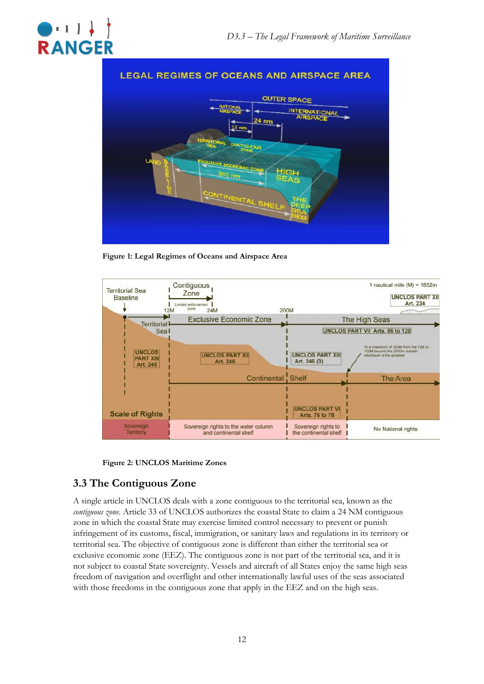# $111.$ **RANGER**



**Figure 1: Legal Regimes of Oceans and Airspace Area**

<span id="page-11-1"></span>



## <span id="page-11-2"></span><span id="page-11-0"></span>**3.3 The Contiguous Zone**

A single article in UNCLOS deals with a zone contiguous to the territorial sea, known as the *contiguous zone*. Article 33 of UNCLOS authorizes the coastal State to claim a 24 NM contiguous zone in which the coastal State may exercise limited control necessary to prevent or punish infringement of its customs, fiscal, immigration, or sanitary laws and regulations in its territory or territorial sea. The objective of contiguous zone is different than either the territorial sea or exclusive economic zone (EEZ). The contiguous zone is not part of the territorial sea, and it is not subject to coastal State sovereignty. Vessels and aircraft of all States enjoy the same high seas freedom of navigation and overflight and other internationally lawful uses of the seas associated with those freedoms in the contiguous zone that apply in the EEZ and on the high seas.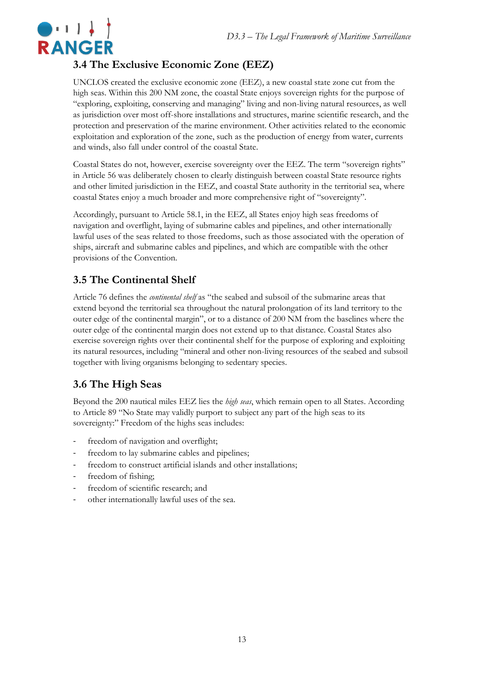

# <span id="page-12-0"></span>**3.4 The Exclusive Economic Zone (EEZ)**

UNCLOS created the exclusive economic zone (EEZ), a new coastal state zone cut from the high seas. Within this 200 NM zone, the coastal State enjoys sovereign rights for the purpose of "exploring, exploiting, conserving and managing" living and non-living natural resources, as well as jurisdiction over most off-shore installations and structures, marine scientific research, and the protection and preservation of the marine environment. Other activities related to the economic exploitation and exploration of the zone, such as the production of energy from water, currents and winds, also fall under control of the coastal State.

Coastal States do not, however, exercise sovereignty over the EEZ. The term "sovereign rights" in Article 56 was deliberately chosen to clearly distinguish between coastal State resource rights and other limited jurisdiction in the EEZ, and coastal State authority in the territorial sea, where coastal States enjoy a much broader and more comprehensive right of "sovereignty".

Accordingly, pursuant to Article 58.1, in the EEZ, all States enjoy high seas freedoms of navigation and overflight, laying of submarine cables and pipelines, and other internationally lawful uses of the seas related to those freedoms, such as those associated with the operation of ships, aircraft and submarine cables and pipelines, and which are compatible with the other provisions of the Convention.

# <span id="page-12-1"></span>**3.5 The Continental Shelf**

Article 76 defines the *continental shelf* as "the seabed and subsoil of the submarine areas that extend beyond the territorial sea throughout the natural prolongation of its land territory to the outer edge of the continental margin", or to a distance of 200 NM from the baselines where the outer edge of the continental margin does not extend up to that distance. Coastal States also exercise sovereign rights over their continental shelf for the purpose of exploring and exploiting its natural resources, including "mineral and other non-living resources of the seabed and subsoil together with living organisms belonging to sedentary species.

# <span id="page-12-2"></span>**3.6 The High Seas**

Beyond the 200 nautical miles EEZ lies the *high seas*, which remain open to all States. According to Article 89 "No State may validly purport to subject any part of the high seas to its sovereignty:" Freedom of the highs seas includes:

- freedom of navigation and overflight;
- freedom to lay submarine cables and pipelines;
- freedom to construct artificial islands and other installations;
- freedom of fishing;
- freedom of scientific research; and
- other internationally lawful uses of the sea.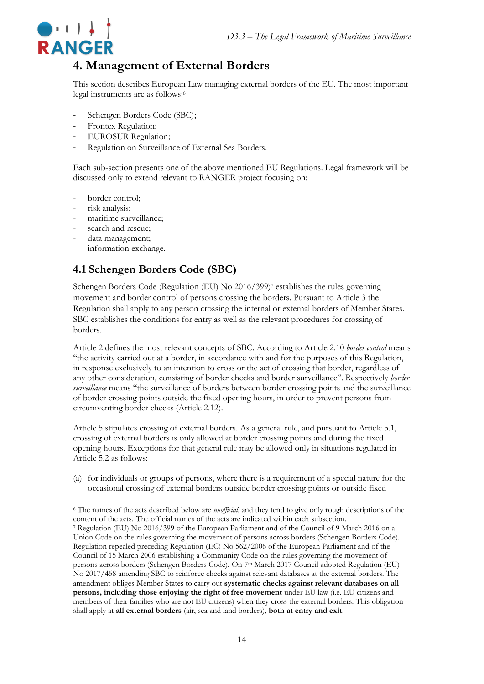

# <span id="page-13-0"></span>**4. Management of External Borders**

This section describes European Law managing external borders of the EU. The most important legal instruments are as follows: 6

- Schengen Borders Code (SBC);
- Frontex Regulation;
- EUROSUR Regulation;
- Regulation on Surveillance of External Sea Borders.

Each sub-section presents one of the above mentioned EU Regulations. Legal framework will be discussed only to extend relevant to RANGER project focusing on:

- border control;
- risk analysis;
- maritime surveillance;
- search and rescue;
- data management;
- <span id="page-13-1"></span>information exchange.

## **4.1 Schengen Borders Code (SBC)**

Schengen Borders Code (Regulation (EU) No 2016/399) <sup>7</sup> establishes the rules governing movement and border control of persons crossing the borders. Pursuant to Article 3 the Regulation shall apply to any person crossing the internal or external borders of Member States. SBC establishes the conditions for entry as well as the relevant procedures for crossing of borders.

Article 2 defines the most relevant concepts of SBC. According to Article 2.10 *border control* means "the activity carried out at a border, in accordance with and for the purposes of this Regulation, in response exclusively to an intention to cross or the act of crossing that border, regardless of any other consideration, consisting of border checks and border surveillance". Respectively *border surveillance* means "the surveillance of borders between border crossing points and the surveillance of border crossing points outside the fixed opening hours, in order to prevent persons from circumventing border checks (Article 2.12).

Article 5 stipulates crossing of external borders. As a general rule, and pursuant to Article 5.1, crossing of external borders is only allowed at border crossing points and during the fixed opening hours. Exceptions for that general rule may be allowed only in situations regulated in Article 5.2 as follows:

(a) for individuals or groups of persons, where there is a requirement of a special nature for the occasional crossing of external borders outside border crossing points or outside fixed

**<sup>.</sup>** <sup>6</sup> The names of the acts described below are *unofficial*, and they tend to give only rough descriptions of the content of the acts. The official names of the acts are indicated within each subsection.

<sup>7</sup> Regulation (EU) No 2016/399 of the European Parliament and of the Council of 9 March 2016 on a Union Code on the rules governing the movement of persons across borders (Schengen Borders Code). Regulation repealed preceding Regulation (EC) No 562/2006 of the European Parliament and of the Council of 15 March 2006 establishing a Community Code on the rules governing the movement of persons across borders (Schengen Borders Code). On 7th March 2017 Council adopted Regulation (EU) No 2017/458 amending SBC to reinforce checks against relevant databases at the external borders. The amendment obliges Member States to carry out **systematic checks against relevant databases on all persons, including those enjoying the right of free movement** under EU law (i.e. EU citizens and members of their families who are not EU citizens) when they cross the external borders. This obligation shall apply at **all external borders** (air, sea and land borders), **both at entry and exit**.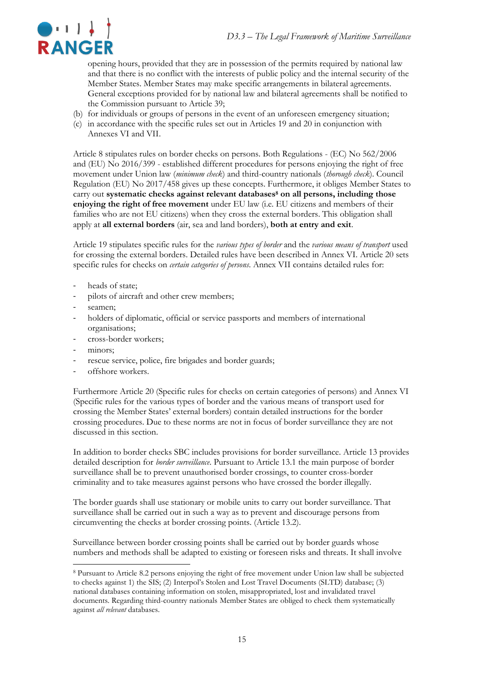

opening hours, provided that they are in possession of the permits required by national law and that there is no conflict with the interests of public policy and the internal security of the Member States. Member States may make specific arrangements in bilateral agreements. General exceptions provided for by national law and bilateral agreements shall be notified to the Commission pursuant to Article 39;

- (b) for individuals or groups of persons in the event of an unforeseen emergency situation;
- (c) in accordance with the specific rules set out in Articles 19 and 20 in conjunction with Annexes VI and VII.

Article 8 stipulates rules on border checks on persons. Both Regulations - (EC) No 562/2006 and (EU) No 2016/399 - established different procedures for persons enjoying the right of free movement under Union law (*minimum check*) and third-country nationals (*thorough check*). Council Regulation (EU) No 2017/458 gives up these concepts. Furthermore, it obliges Member States to carry out **systematic checks against relevant databases<sup>8</sup> on all persons, including those enjoying the right of free movement** under EU law (i.e. EU citizens and members of their families who are not EU citizens) when they cross the external borders. This obligation shall apply at **all external borders** (air, sea and land borders), **both at entry and exit**.

Article 19 stipulates specific rules for the *various types of border* and the *various means of transport* used for crossing the external borders. Detailed rules have been described in Annex VI. Article 20 sets specific rules for checks on *certain categories of persons*. Annex VII contains detailed rules for:

- heads of state;
- pilots of aircraft and other crew members;
- seamen;
- holders of diplomatic, official or service passports and members of international organisations;
- cross-border workers;
- minors:

 $\overline{a}$ 

- rescue service, police, fire brigades and border guards;
- offshore workers.

Furthermore Article 20 (Specific rules for checks on certain categories of persons) and Annex VI (Specific rules for the various types of border and the various means of transport used for crossing the Member States' external borders) contain detailed instructions for the border crossing procedures. Due to these norms are not in focus of border surveillance they are not discussed in this section.

In addition to border checks SBC includes provisions for border surveillance. Article 13 provides detailed description for *border surveillance*. Pursuant to Article 13.1 the main purpose of border surveillance shall be to prevent unauthorised border crossings, to counter cross-border criminality and to take measures against persons who have crossed the border illegally.

The border guards shall use stationary or mobile units to carry out border surveillance. That surveillance shall be carried out in such a way as to prevent and discourage persons from circumventing the checks at border crossing points. (Article 13.2).

Surveillance between border crossing points shall be carried out by border guards whose numbers and methods shall be adapted to existing or foreseen risks and threats. It shall involve

<sup>8</sup> Pursuant to Article 8.2 persons enjoying the right of free movement under Union law shall be subjected to checks against 1) the SIS; (2) Interpol's Stolen and Lost Travel Documents (SLTD) database; (3) national databases containing information on stolen, misappropriated, lost and invalidated travel documents. Regarding third-country nationals Member States are obliged to check them systematically against *all relevant* databases.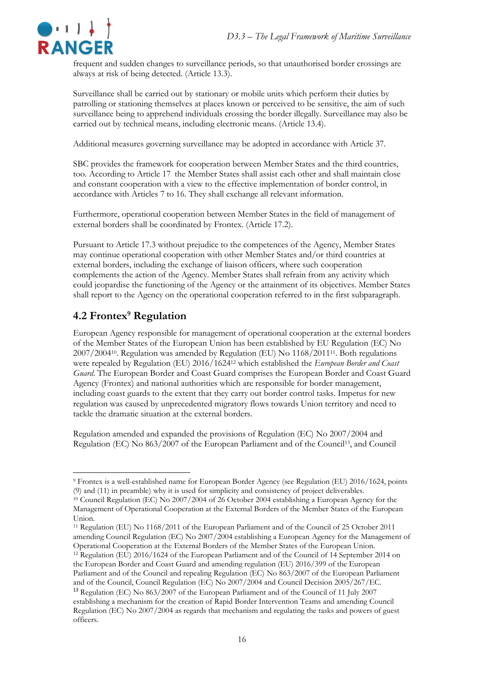

frequent and sudden changes to surveillance periods, so that unauthorised border crossings are always at risk of being detected. (Article 13.3).

Surveillance shall be carried out by stationary or mobile units which perform their duties by patrolling or stationing themselves at places known or perceived to be sensitive, the aim of such surveillance being to apprehend individuals crossing the border illegally. Surveillance may also be carried out by technical means, including electronic means. (Article 13.4).

Additional measures governing surveillance may be adopted in accordance with Article 37.

SBC provides the framework for cooperation between Member States and the third countries, too. According to Article 17 the Member States shall assist each other and shall maintain close and constant cooperation with a view to the effective implementation of border control, in accordance with Articles 7 to 16. They shall exchange all relevant information.

Furthermore, operational cooperation between Member States in the field of management of external borders shall be coordinated by Frontex. (Article 17.2).

Pursuant to Article 17.3 without prejudice to the competences of the Agency, Member States may continue operational cooperation with other Member States and/or third countries at external borders, including the exchange of liaison officers, where such cooperation complements the action of the Agency. Member States shall refrain from any activity which could jeopardise the functioning of the Agency or the attainment of its objectives. Member States shall report to the Agency on the operational cooperation referred to in the first subparagraph.

# <span id="page-15-0"></span>**4.2 Frontex<sup>9</sup> Regulation**

European Agency responsible for management of operational cooperation at the external borders of the Member States of the European Union has been established by EU Regulation (EC) No 2007/2004<sup>10</sup> . Regulation was amended by Regulation (EU) No 1168/201111. Both regulations were repealed by Regulation (EU) 2016/1624<sup>12</sup> which established the *European Border and Coast Guard*. The European Border and Coast Guard comprises the European Border and Coast Guard Agency (Frontex) and national authorities which are responsible for border management, including coast guards to the extent that they carry out border control tasks. Impetus for new regulation was caused by unprecedented migratory flows towards Union territory and need to tackle the dramatic situation at the external borders.

Regulation amended and expanded the provisions of Regulation (EC) No 2007/2004 and Regulation (EC) No 863/2007 of the European Parliament and of the Council<sup>13</sup>, and Council

<sup>1</sup> <sup>9</sup> Frontex is a well-established name for European Border Agency (see Regulation (EU) 2016/1624, points (9) and (11) in preamble) why it is used for simplicity and consistency of project deliverables.

<sup>10</sup> Council Regulation (EC) No 2007/2004 of 26 October 2004 establishing a European Agency for the Management of Operational Cooperation at the External Borders of the Member States of the European Union.

<sup>11</sup> Regulation (EU) No 1168/2011 of the European Parliament and of the Council of 25 October 2011 amending Council Regulation (EC) No 2007/2004 establishing a European Agency for the Management of Operational Cooperation at the External Borders of the Member States of the European Union.

<sup>12</sup> Regulation (EU) 2016/1624 of the European Parliament and of the Council of 14 September 2014 on the European Border and Coast Guard and amending regulation (EU) 2016/399 of the European Parliament and of the Council and repealing Regulation (EC) No 863/2007 of the European Parliament and of the Council, Council Regulation (EC) No 2007/2004 and Council Decision 2005/267/EC. <sup>13</sup> Regulation (EC) No 863/2007 of the European Parliament and of the Council of 11 July 2007 establishing a mechanism for the creation of Rapid Border Intervention Teams and amending Council Regulation (EC) No 2007/2004 as regards that mechanism and regulating the tasks and powers of guest officers.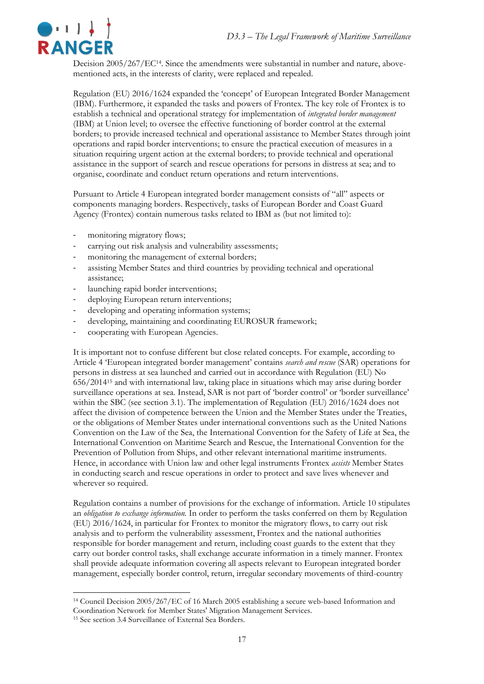

Decision 2005/267/EC14. Since the amendments were substantial in number and nature, abovementioned acts, in the interests of clarity, were replaced and repealed.

Regulation (EU) 2016/1624 expanded the 'concept' of European Integrated Border Management (IBM). Furthermore, it expanded the tasks and powers of Frontex. The key role of Frontex is to establish a technical and operational strategy for implementation of *integrated border management* (IBM) at Union level; to oversee the effective functioning of border control at the external borders; to provide increased technical and operational assistance to Member States through joint operations and rapid border interventions; to ensure the practical execution of measures in a situation requiring urgent action at the external borders; to provide technical and operational assistance in the support of search and rescue operations for persons in distress at sea; and to organise, coordinate and conduct return operations and return interventions.

Pursuant to Article 4 European integrated border management consists of "all" aspects or components managing borders. Respectively, tasks of European Border and Coast Guard Agency (Frontex) contain numerous tasks related to IBM as (but not limited to):

- monitoring migratory flows;
- carrying out risk analysis and vulnerability assessments;
- monitoring the management of external borders;
- assisting Member States and third countries by providing technical and operational assistance;
- launching rapid border interventions;
- deploying European return interventions;
- developing and operating information systems;
- developing, maintaining and coordinating EUROSUR framework;
- cooperating with European Agencies.

It is important not to confuse different but close related concepts. For example, according to Article 4 'European integrated border management' contains *search and rescue* (SAR) operations for persons in distress at sea launched and carried out in accordance with Regulation (EU) No 656/2014<sup>15</sup> and with international law, taking place in situations which may arise during border surveillance operations at sea. Instead, SAR is not part of 'border control' or 'border surveillance' within the SBC (see section 3.1). The implementation of Regulation (EU) 2016/1624 does not affect the division of competence between the Union and the Member States under the Treaties, or the obligations of Member States under international conventions such as the United Nations Convention on the Law of the Sea, the International Convention for the Safety of Life at Sea, the International Convention on Maritime Search and Rescue, the International Convention for the Prevention of Pollution from Ships, and other relevant international maritime instruments. Hence, in accordance with Union law and other legal instruments Frontex *assists* Member States in conducting search and rescue operations in order to protect and save lives whenever and wherever so required.

Regulation contains a number of provisions for the exchange of information. Article 10 stipulates an *obligation to exchange information.* In order to perform the tasks conferred on them by Regulation (EU) 2016/1624, in particular for Frontex to monitor the migratory flows, to carry out risk analysis and to perform the vulnerability assessment, Frontex and the national authorities responsible for border management and return, including coast guards to the extent that they carry out border control tasks, shall exchange accurate information in a timely manner. Frontex shall provide adequate information covering all aspects relevant to European integrated border management, especially border control, return, irregular secondary movements of third-country

<sup>1</sup> <sup>14</sup> Council Decision 2005/267/EC of 16 March 2005 establishing a secure web-based Information and Coordination Network for Member States' Migration Management Services.

<sup>15</sup> See section 3.4 Surveillance of External Sea Borders.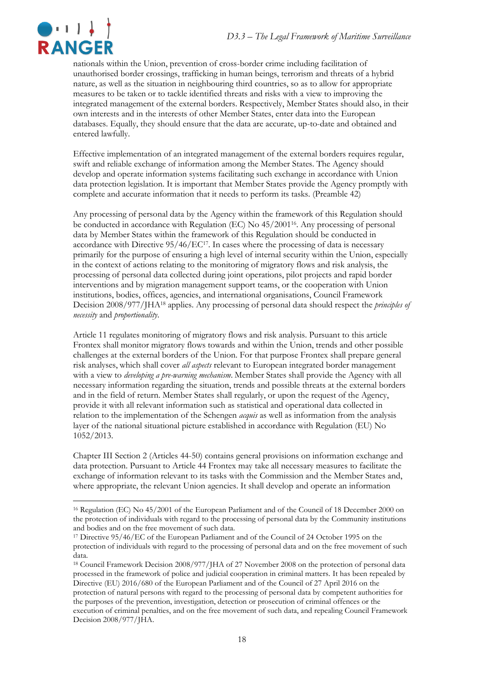

**.** 

nationals within the Union, prevention of cross-border crime including facilitation of unauthorised border crossings, trafficking in human beings, terrorism and threats of a hybrid nature, as well as the situation in neighbouring third countries, so as to allow for appropriate measures to be taken or to tackle identified threats and risks with a view to improving the integrated management of the external borders. Respectively, Member States should also, in their own interests and in the interests of other Member States, enter data into the European databases. Equally, they should ensure that the data are accurate, up-to-date and obtained and entered lawfully.

Effective implementation of an integrated management of the external borders requires regular, swift and reliable exchange of information among the Member States. The Agency should develop and operate information systems facilitating such exchange in accordance with Union data protection legislation. It is important that Member States provide the Agency promptly with complete and accurate information that it needs to perform its tasks. (Preamble 42)

Any processing of personal data by the Agency within the framework of this Regulation should be conducted in accordance with Regulation (EC) No 45/2001<sup>16</sup>. Any processing of personal data by Member States within the framework of this Regulation should be conducted in accordance with Directive  $95/46/EC^{17}$ . In cases where the processing of data is necessary primarily for the purpose of ensuring a high level of internal security within the Union, especially in the context of actions relating to the monitoring of migratory flows and risk analysis, the processing of personal data collected during joint operations, pilot projects and rapid border interventions and by migration management support teams, or the cooperation with Union institutions, bodies, offices, agencies, and international organisations, Council Framework Decision 2008/977/JHA<sup>18</sup> applies. Any processing of personal data should respect the *principles of necessity* and *proportionality*.

Article 11 regulates monitoring of migratory flows and risk analysis. Pursuant to this article Frontex shall monitor migratory flows towards and within the Union, trends and other possible challenges at the external borders of the Union. For that purpose Frontex shall prepare general risk analyses, which shall cover *all aspects* relevant to European integrated border management with a view to *developing a pre-warning mechanism*. Member States shall provide the Agency with all necessary information regarding the situation, trends and possible threats at the external borders and in the field of return. Member States shall regularly, or upon the request of the Agency, provide it with all relevant information such as statistical and operational data collected in relation to the implementation of the Schengen *acquis* as well as information from the analysis layer of the national situational picture established in accordance with Regulation (EU) No 1052/2013.

Chapter III Section 2 (Articles 44-50) contains general provisions on information exchange and data protection. Pursuant to Article 44 Frontex may take all necessary measures to facilitate the exchange of information relevant to its tasks with the Commission and the Member States and, where appropriate, the relevant Union agencies. It shall develop and operate an information

<sup>16</sup> Regulation (EC) No 45/2001 of the European Parliament and of the Council of 18 December 2000 on the protection of individuals with regard to the processing of personal data by the Community institutions and bodies and on the free movement of such data.

<sup>17</sup> Directive 95/46/EC of the European Parliament and of the Council of 24 October 1995 on the protection of individuals with regard to the processing of personal data and on the free movement of such data.

<sup>18</sup> Council Framework Decision 2008/977/JHA of 27 November 2008 on the protection of personal data processed in the framework of police and judicial cooperation in criminal matters. It has been repealed by Directive (EU) 2016/680 of the European Parliament and of the Council of 27 April 2016 on the protection of natural persons with regard to the processing of personal data by competent authorities for the purposes of the prevention, investigation, detection or prosecution of criminal offences or the execution of criminal penalties, and on the free movement of such data, and repealing Council Framework Decision 2008/977/JHA.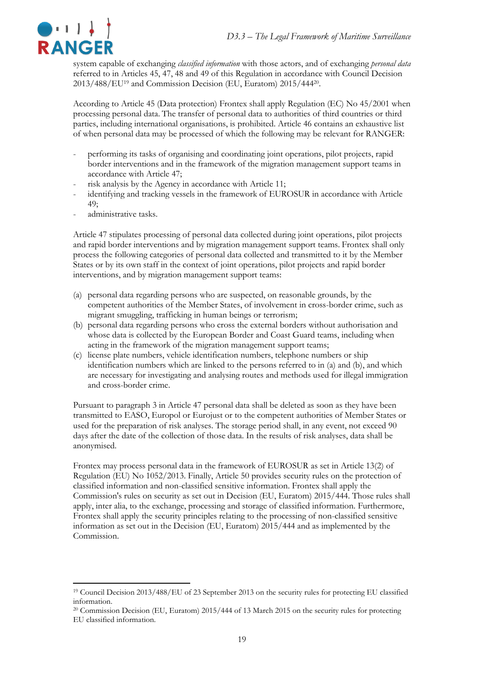

system capable of exchanging *classified information* with those actors, and of exchanging *personal data* referred to in Articles 45, 47, 48 and 49 of this Regulation in accordance with Council Decision 2013/488/EU<sup>19</sup> and Commission Decision (EU, Euratom) 2015/444<sup>20</sup> .

According to Article 45 (Data protection) Frontex shall apply Regulation (EC) No 45/2001 when processing personal data. The transfer of personal data to authorities of third countries or third parties, including international organisations, is prohibited. Article 46 contains an exhaustive list of when personal data may be processed of which the following may be relevant for RANGER:

- performing its tasks of organising and coordinating joint operations, pilot projects, rapid border interventions and in the framework of the migration management support teams in accordance with Article 47;
- risk analysis by the Agency in accordance with Article 11;
- identifying and tracking vessels in the framework of EUROSUR in accordance with Article 49;
- administrative tasks.

Article 47 stipulates processing of personal data collected during joint operations, pilot projects and rapid border interventions and by migration management support teams. Frontex shall only process the following categories of personal data collected and transmitted to it by the Member States or by its own staff in the context of joint operations, pilot projects and rapid border interventions, and by migration management support teams:

- (a) personal data regarding persons who are suspected, on reasonable grounds, by the competent authorities of the Member States, of involvement in cross-border crime, such as migrant smuggling, trafficking in human beings or terrorism;
- (b) personal data regarding persons who cross the external borders without authorisation and whose data is collected by the European Border and Coast Guard teams, including when acting in the framework of the migration management support teams;
- (c) license plate numbers, vehicle identification numbers, telephone numbers or ship identification numbers which are linked to the persons referred to in (a) and (b), and which are necessary for investigating and analysing routes and methods used for illegal immigration and cross-border crime.

Pursuant to paragraph 3 in Article 47 personal data shall be deleted as soon as they have been transmitted to EASO, Europol or Eurojust or to the competent authorities of Member States or used for the preparation of risk analyses. The storage period shall, in any event, not exceed 90 days after the date of the collection of those data. In the results of risk analyses, data shall be anonymised.

Frontex may process personal data in the framework of EUROSUR as set in Article 13(2) of Regulation (EU) No 1052/2013. Finally, Article 50 provides security rules on the protection of classified information and non-classified sensitive information. Frontex shall apply the Commission's rules on security as set out in Decision (EU, Euratom) 2015/444. Those rules shall apply, inter alia, to the exchange, processing and storage of classified information. Furthermore, Frontex shall apply the security principles relating to the processing of non-classified sensitive information as set out in the Decision (EU, Euratom) 2015/444 and as implemented by the Commission.

<sup>1</sup> <sup>19</sup> Council Decision 2013/488/EU of 23 September 2013 on the security rules for protecting EU classified information.

<sup>&</sup>lt;sup>20</sup> Commission Decision (EU, Euratom) 2015/444 of 13 March 2015 on the security rules for protecting EU classified information.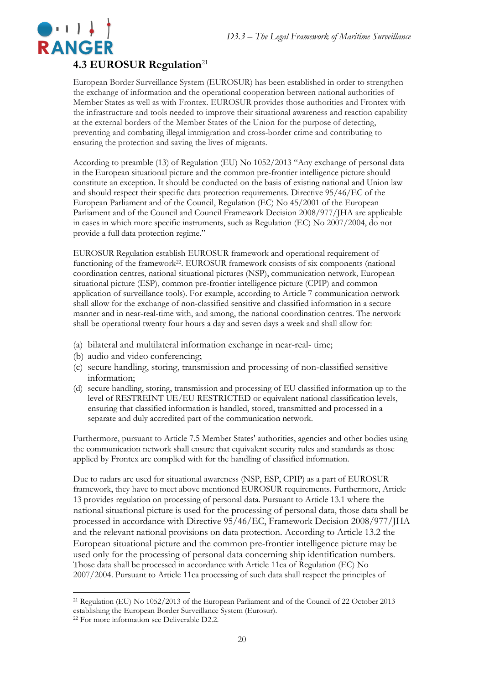# $\bullet$   $\cdot$   $\circ$   $\circ$   $\circ$ **RANGER 4.3 EUROSUR Regulation**<sup>21</sup>

<span id="page-19-0"></span>European Border Surveillance System (EUROSUR) has been established in order to strengthen the exchange of information and the operational cooperation between national authorities of Member States as well as with Frontex. EUROSUR provides those authorities and Frontex with the infrastructure and tools needed to improve their situational awareness and reaction capability at the external borders of the Member States of the Union for the purpose of detecting, preventing and combating illegal immigration and cross-border crime and contributing to ensuring the protection and saving the lives of migrants.

According to preamble (13) of Regulation (EU) No 1052/2013 "Any exchange of personal data in the European situational picture and the common pre-frontier intelligence picture should constitute an exception. It should be conducted on the basis of existing national and Union law and should respect their specific data protection requirements. Directive 95/46/EC of the European Parliament and of the Council, Regulation (EC) No 45/2001 of the European Parliament and of the Council and Council Framework Decision 2008/977/JHA are applicable in cases in which more specific instruments, such as Regulation (EC) No 2007/2004, do not provide a full data protection regime."

EUROSUR Regulation establish EUROSUR framework and operational requirement of functioning of the framework<sup>22</sup>. EUROSUR framework consists of six components (national coordination centres, national situational pictures (NSP), communication network, European situational picture (ESP), common pre-frontier intelligence picture (CPIP) and common application of surveillance tools). For example, according to Article 7 communication network shall allow for the exchange of non-classified sensitive and classified information in a secure manner and in near-real-time with, and among, the national coordination centres. The network shall be operational twenty four hours a day and seven days a week and shall allow for:

- (a) bilateral and multilateral information exchange in near-real- time;
- (b) audio and video conferencing;
- (c) secure handling, storing, transmission and processing of non-classified sensitive information;
- (d) secure handling, storing, transmission and processing of EU classified information up to the level of RESTREINT UE/EU RESTRICTED or equivalent national classification levels, ensuring that classified information is handled, stored, transmitted and processed in a separate and duly accredited part of the communication network.

Furthermore, pursuant to Article 7.5 Member States' authorities, agencies and other bodies using the communication network shall ensure that equivalent security rules and standards as those applied by Frontex are complied with for the handling of classified information.

Due to radars are used for situational awareness (NSP, ESP, CPIP) as a part of EUROSUR framework, they have to meet above mentioned EUROSUR requirements. Furthermore, Article 13 provides regulation on processing of personal data. Pursuant to Article 13.1 where the national situational picture is used for the processing of personal data, those data shall be processed in accordance with Directive 95/46/EC, Framework Decision 2008/977/JHA and the relevant national provisions on data protection. According to Article 13.2 the European situational picture and the common pre-frontier intelligence picture may be used only for the processing of personal data concerning ship identification numbers. Those data shall be processed in accordance with Article 11ca of Regulation (EC) No 2007/2004. Pursuant to Article 11ca processing of such data shall respect the principles of

<sup>1</sup> <sup>21</sup> Regulation (EU) No 1052/2013 of the European Parliament and of the Council of 22 October 2013 establishing the European Border Surveillance System (Eurosur).

<sup>22</sup> For more information see Deliverable D2.2.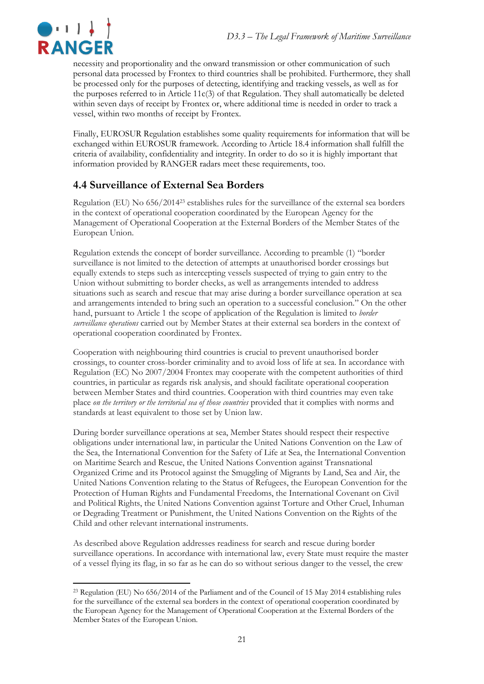

necessity and proportionality and the onward transmission or other communication of such personal data processed by Frontex to third countries shall be prohibited. Furthermore, they shall be processed only for the purposes of detecting, identifying and tracking vessels, as well as for the purposes referred to in Article  $11c(3)$  of that Regulation. They shall automatically be deleted within seven days of receipt by Frontex or, where additional time is needed in order to track a vessel, within two months of receipt by Frontex.

Finally, EUROSUR Regulation establishes some quality requirements for information that will be exchanged within EUROSUR framework. According to Article 18.4 information shall fulfill the criteria of availability, confidentiality and integrity. In order to do so it is highly important that information provided by RANGER radars meet these requirements, too.

## <span id="page-20-0"></span>**4.4 Surveillance of External Sea Borders**

Regulation (EU) No 656/2014<sup>23</sup> establishes rules for the surveillance of the external sea borders in the context of operational cooperation coordinated by the European Agency for the Management of Operational Cooperation at the External Borders of the Member States of the European Union.

Regulation extends the concept of border surveillance. According to preamble (1) "border surveillance is not limited to the detection of attempts at unauthorised border crossings but equally extends to steps such as intercepting vessels suspected of trying to gain entry to the Union without submitting to border checks, as well as arrangements intended to address situations such as search and rescue that may arise during a border surveillance operation at sea and arrangements intended to bring such an operation to a successful conclusion." On the other hand, pursuant to Article 1 the scope of application of the Regulation is limited to *border surveillance operations* carried out by Member States at their external sea borders in the context of operational cooperation coordinated by Frontex.

Cooperation with neighbouring third countries is crucial to prevent unauthorised border crossings, to counter cross-border criminality and to avoid loss of life at sea. In accordance with Regulation (EC) No 2007/2004 Frontex may cooperate with the competent authorities of third countries, in particular as regards risk analysis, and should facilitate operational cooperation between Member States and third countries. Cooperation with third countries may even take place *on the territory or the territorial sea of those countries* provided that it complies with norms and standards at least equivalent to those set by Union law.

During border surveillance operations at sea, Member States should respect their respective obligations under international law, in particular the United Nations Convention on the Law of the Sea, the International Convention for the Safety of Life at Sea, the International Convention on Maritime Search and Rescue, the United Nations Convention against Transnational Organized Crime and its Protocol against the Smuggling of Migrants by Land, Sea and Air, the United Nations Convention relating to the Status of Refugees, the European Convention for the Protection of Human Rights and Fundamental Freedoms, the International Covenant on Civil and Political Rights, the United Nations Convention against Torture and Other Cruel, Inhuman or Degrading Treatment or Punishment, the United Nations Convention on the Rights of the Child and other relevant international instruments.

As described above Regulation addresses readiness for search and rescue during border surveillance operations. In accordance with international law, every State must require the master of a vessel flying its flag, in so far as he can do so without serious danger to the vessel, the crew

<sup>1</sup> <sup>23</sup> Regulation (EU) No 656/2014 of the Parliament and of the Council of 15 May 2014 establishing rules for the surveillance of the external sea borders in the context of operational cooperation coordinated by the European Agency for the Management of Operational Cooperation at the External Borders of the Member States of the European Union.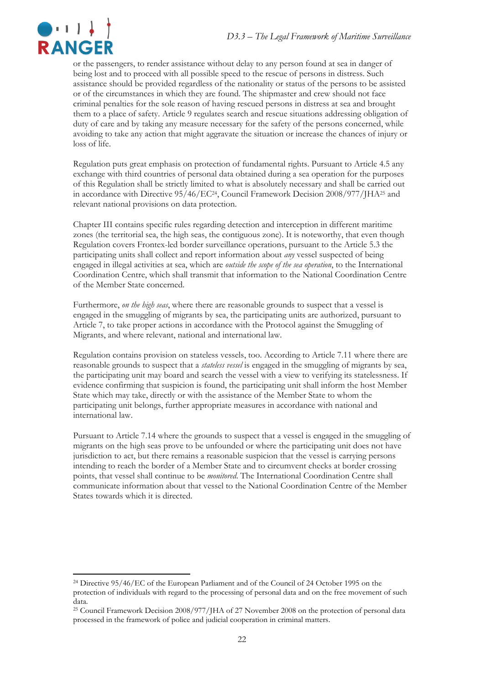

or the passengers, to render assistance without delay to any person found at sea in danger of being lost and to proceed with all possible speed to the rescue of persons in distress. Such assistance should be provided regardless of the nationality or status of the persons to be assisted or of the circumstances in which they are found. The shipmaster and crew should not face criminal penalties for the sole reason of having rescued persons in distress at sea and brought them to a place of safety. Article 9 regulates search and rescue situations addressing obligation of duty of care and by taking any measure necessary for the safety of the persons concerned, while avoiding to take any action that might aggravate the situation or increase the chances of injury or loss of life.

Regulation puts great emphasis on protection of fundamental rights. Pursuant to Article 4.5 any exchange with third countries of personal data obtained during a sea operation for the purposes of this Regulation shall be strictly limited to what is absolutely necessary and shall be carried out in accordance with Directive 95/46/EC24, Council Framework Decision 2008/977/JHA<sup>25</sup> and relevant national provisions on data protection.

Chapter III contains specific rules regarding detection and interception in different maritime zones (the territorial sea, the high seas, the contiguous zone). It is noteworthy, that even though Regulation covers Frontex-led border surveillance operations, pursuant to the Article 5.3 the participating units shall collect and report information about *any* vessel suspected of being engaged in illegal activities at sea, which are *outside the scope of the sea operation*, to the International Coordination Centre, which shall transmit that information to the National Coordination Centre of the Member State concerned.

Furthermore, *on the high seas*, where there are reasonable grounds to suspect that a vessel is engaged in the smuggling of migrants by sea, the participating units are authorized, pursuant to Article 7, to take proper actions in accordance with the Protocol against the Smuggling of Migrants, and where relevant, national and international law.

Regulation contains provision on stateless vessels, too. According to Article 7.11 where there are reasonable grounds to suspect that a *stateless vessel* is engaged in the smuggling of migrants by sea, the participating unit may board and search the vessel with a view to verifying its statelessness. If evidence confirming that suspicion is found, the participating unit shall inform the host Member State which may take, directly or with the assistance of the Member State to whom the participating unit belongs, further appropriate measures in accordance with national and international law.

Pursuant to Article 7.14 where the grounds to suspect that a vessel is engaged in the smuggling of migrants on the high seas prove to be unfounded or where the participating unit does not have jurisdiction to act, but there remains a reasonable suspicion that the vessel is carrying persons intending to reach the border of a Member State and to circumvent checks at border crossing points, that vessel shall continue to be *monitored*. The International Coordination Centre shall communicate information about that vessel to the National Coordination Centre of the Member States towards which it is directed.

**<sup>.</sup>** <sup>24</sup> Directive 95/46/EC of the European Parliament and of the Council of 24 October 1995 on the protection of individuals with regard to the processing of personal data and on the free movement of such data.

<sup>25</sup> Council Framework Decision 2008/977/JHA of 27 November 2008 on the protection of personal data processed in the framework of police and judicial cooperation in criminal matters.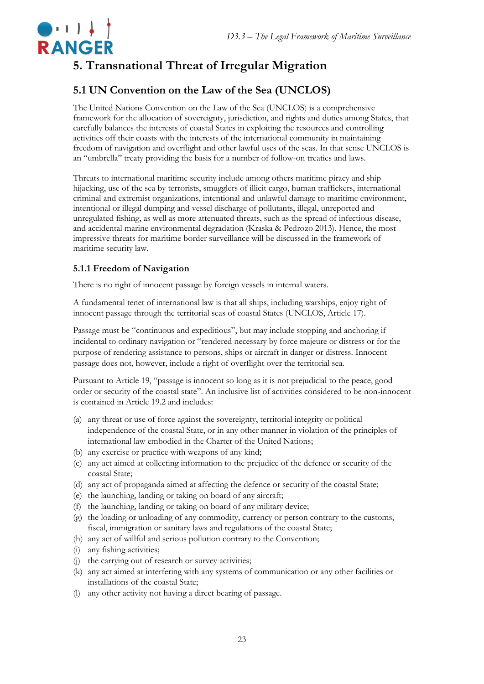

# <span id="page-22-0"></span>**5. Transnational Threat of Irregular Migration**

# <span id="page-22-1"></span>**5.1 UN Convention on the Law of the Sea (UNCLOS)**

The United Nations Convention on the Law of the Sea (UNCLOS) is a comprehensive framework for the allocation of sovereignty, jurisdiction, and rights and duties among States, that carefully balances the interests of coastal States in exploiting the resources and controlling activities off their coasts with the interests of the international community in maintaining freedom of navigation and overflight and other lawful uses of the seas. In that sense UNCLOS is an "umbrella" treaty providing the basis for a number of follow-on treaties and laws.

Threats to international maritime security include among others maritime piracy and ship hijacking, use of the sea by terrorists, smugglers of illicit cargo, human traffickers, international criminal and extremist organizations, intentional and unlawful damage to maritime environment, intentional or illegal dumping and vessel discharge of pollutants, illegal, unreported and unregulated fishing, as well as more attenuated threats, such as the spread of infectious disease, and accidental marine environmental degradation (Kraska & Pedrozo 2013). Hence, the most impressive threats for maritime border surveillance will be discussed in the framework of maritime security law.

## <span id="page-22-2"></span>**5.1.1 Freedom of Navigation**

There is no right of innocent passage by foreign vessels in internal waters.

A fundamental tenet of international law is that all ships, including warships, enjoy right of innocent passage through the territorial seas of coastal States (UNCLOS, Article 17).

Passage must be "continuous and expeditious", but may include stopping and anchoring if incidental to ordinary navigation or "rendered necessary by force majeure or distress or for the purpose of rendering assistance to persons, ships or aircraft in danger or distress. Innocent passage does not, however, include a right of overflight over the territorial sea.

Pursuant to Article 19, "passage is innocent so long as it is not prejudicial to the peace, good order or security of the coastal state". An inclusive list of activities considered to be non-innocent is contained in Article 19.2 and includes:

- (a) any threat or use of force against the sovereignty, territorial integrity or political independence of the coastal State, or in any other manner in violation of the principles of international law embodied in the Charter of the United Nations;
- (b) any exercise or practice with weapons of any kind;
- (c) any act aimed at collecting information to the prejudice of the defence or security of the coastal State;
- (d) any act of propaganda aimed at affecting the defence or security of the coastal State;
- (e) the launching, landing or taking on board of any aircraft;
- (f) the launching, landing or taking on board of any military device;
- (g) the loading or unloading of any commodity, currency or person contrary to the customs, fiscal, immigration or sanitary laws and regulations of the coastal State;
- (h) any act of willful and serious pollution contrary to the Convention;
- (i) any fishing activities;
- (j) the carrying out of research or survey activities;
- (k) any act aimed at interfering with any systems of communication or any other facilities or installations of the coastal State;
- (l) any other activity not having a direct bearing of passage.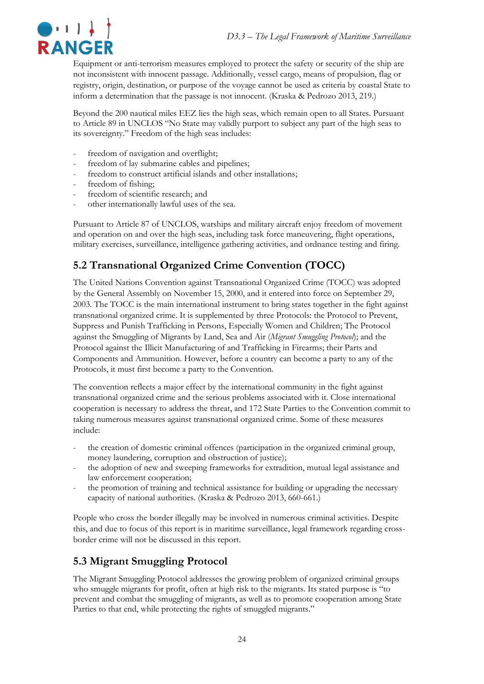

Equipment or anti-terrorism measures employed to protect the safety or security of the ship are not inconsistent with innocent passage. Additionally, vessel cargo, means of propulsion, flag or registry, origin, destination, or purpose of the voyage cannot be used as criteria by coastal State to inform a determination that the passage is not innocent. (Kraska & Pedrozo 2013, 219.)

Beyond the 200 nautical miles EEZ lies the high seas, which remain open to all States. Pursuant to Article 89 in UNCLOS "No State may validly purport to subject any part of the high seas to its sovereignty." Freedom of the high seas includes:

- freedom of navigation and overflight;
- freedom of lay submarine cables and pipelines;
- freedom to construct artificial islands and other installations;
- freedom of fishing;
- freedom of scientific research; and
- other internationally lawful uses of the sea.

Pursuant to Article 87 of UNCLOS, warships and military aircraft enjoy freedom of movement and operation on and over the high seas, including task force maneuvering, flight operations, military exercises, surveillance, intelligence gathering activities, and ordnance testing and firing.

# <span id="page-23-0"></span>**5.2 Transnational Organized Crime Convention (TOCC)**

The United Nations Convention against Transnational Organized Crime (TOCC) was adopted by the General Assembly on November 15, 2000, and it entered into force on September 29, 2003. The TOCC is the main international instrument to bring states together in the fight against transnational organized crime. It is supplemented by three Protocols: the Protocol to Prevent, Suppress and Punish Trafficking in Persons, Especially Women and Children; The Protocol against the Smuggling of Migrants by Land, Sea and Air (*Migrant Smuggling Protocol*); and the Protocol against the Illicit Manufacturing of and Trafficking in Firearms; their Parts and Components and Ammunition. However, before a country can become a party to any of the Protocols, it must first become a party to the Convention.

The convention reflects a major effect by the international community in the fight against transnational organized crime and the serious problems associated with it. Close international cooperation is necessary to address the threat, and 172 State Parties to the Convention commit to taking numerous measures against transnational organized crime. Some of these measures include:

- the creation of domestic criminal offences (participation in the organized criminal group, money laundering, corruption and obstruction of justice);
- the adoption of new and sweeping frameworks for extradition, mutual legal assistance and law enforcement cooperation;
- the promotion of training and technical assistance for building or upgrading the necessary capacity of national authorities. (Kraska & Pedrozo 2013, 660-661.)

People who cross the border illegally may be involved in numerous criminal activities. Despite this, and due to focus of this report is in maritime surveillance, legal framework regarding crossborder crime will not be discussed in this report.

# <span id="page-23-1"></span>**5.3 Migrant Smuggling Protocol**

The Migrant Smuggling Protocol addresses the growing problem of organized criminal groups who smuggle migrants for profit, often at high risk to the migrants. Its stated purpose is "to prevent and combat the smuggling of migrants, as well as to promote cooperation among State Parties to that end, while protecting the rights of smuggled migrants."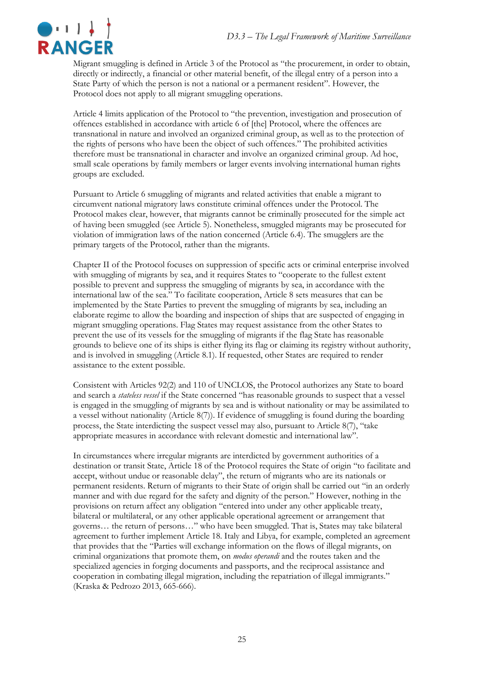

Migrant smuggling is defined in Article 3 of the Protocol as "the procurement, in order to obtain, directly or indirectly, a financial or other material benefit, of the illegal entry of a person into a State Party of which the person is not a national or a permanent resident". However, the Protocol does not apply to all migrant smuggling operations.

Article 4 limits application of the Protocol to "the prevention, investigation and prosecution of offences established in accordance with article 6 of [the] Protocol, where the offences are transnational in nature and involved an organized criminal group, as well as to the protection of the rights of persons who have been the object of such offences." The prohibited activities therefore must be transnational in character and involve an organized criminal group. Ad hoc, small scale operations by family members or larger events involving international human rights groups are excluded.

Pursuant to Article 6 smuggling of migrants and related activities that enable a migrant to circumvent national migratory laws constitute criminal offences under the Protocol. The Protocol makes clear, however, that migrants cannot be criminally prosecuted for the simple act of having been smuggled (see Article 5). Nonetheless, smuggled migrants may be prosecuted for violation of immigration laws of the nation concerned (Article 6.4). The smugglers are the primary targets of the Protocol, rather than the migrants.

Chapter II of the Protocol focuses on suppression of specific acts or criminal enterprise involved with smuggling of migrants by sea, and it requires States to "cooperate to the fullest extent possible to prevent and suppress the smuggling of migrants by sea, in accordance with the international law of the sea." To facilitate cooperation, Article 8 sets measures that can be implemented by the State Parties to prevent the smuggling of migrants by sea, including an elaborate regime to allow the boarding and inspection of ships that are suspected of engaging in migrant smuggling operations. Flag States may request assistance from the other States to prevent the use of its vessels for the smuggling of migrants if the flag State has reasonable grounds to believe one of its ships is either flying its flag or claiming its registry without authority, and is involved in smuggling (Article 8.1). If requested, other States are required to render assistance to the extent possible.

Consistent with Articles 92(2) and 110 of UNCLOS, the Protocol authorizes any State to board and search a *stateless vessel* if the State concerned "has reasonable grounds to suspect that a vessel is engaged in the smuggling of migrants by sea and is without nationality or may be assimilated to a vessel without nationality (Article 8(7)). If evidence of smuggling is found during the boarding process, the State interdicting the suspect vessel may also, pursuant to Article 8(7), "take appropriate measures in accordance with relevant domestic and international law".

In circumstances where irregular migrants are interdicted by government authorities of a destination or transit State, Article 18 of the Protocol requires the State of origin "to facilitate and accept, without undue or reasonable delay", the return of migrants who are its nationals or permanent residents. Return of migrants to their State of origin shall be carried out "in an orderly manner and with due regard for the safety and dignity of the person." However, nothing in the provisions on return affect any obligation "entered into under any other applicable treaty, bilateral or multilateral, or any other applicable operational agreement or arrangement that governs… the return of persons…" who have been smuggled. That is, States may take bilateral agreement to further implement Article 18. Italy and Libya, for example, completed an agreement that provides that the "Parties will exchange information on the flows of illegal migrants, on criminal organizations that promote them, on *modus operandi* and the routes taken and the specialized agencies in forging documents and passports, and the reciprocal assistance and cooperation in combating illegal migration, including the repatriation of illegal immigrants." (Kraska & Pedrozo 2013, 665-666).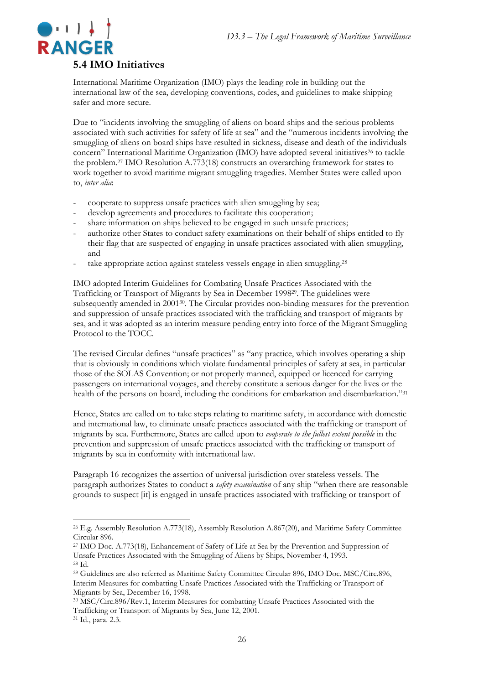

<span id="page-25-0"></span>International Maritime Organization (IMO) plays the leading role in building out the international law of the sea, developing conventions, codes, and guidelines to make shipping safer and more secure.

Due to "incidents involving the smuggling of aliens on board ships and the serious problems associated with such activities for safety of life at sea" and the "numerous incidents involving the smuggling of aliens on board ships have resulted in sickness, disease and death of the individuals concern" International Maritime Organization (IMO) have adopted several initiatives<sup>26</sup> to tackle the problem.<sup>27</sup> IMO Resolution A.773(18) constructs an overarching framework for states to work together to avoid maritime migrant smuggling tragedies. Member States were called upon to, *inter alia*:

- cooperate to suppress unsafe practices with alien smuggling by sea;
- develop agreements and procedures to facilitate this cooperation;
- share information on ships believed to be engaged in such unsafe practices;
- authorize other States to conduct safety examinations on their behalf of ships entitled to fly their flag that are suspected of engaging in unsafe practices associated with alien smuggling, and
- take appropriate action against stateless vessels engage in alien smuggling.<sup>28</sup>

IMO adopted Interim Guidelines for Combating Unsafe Practices Associated with the Trafficking or Transport of Migrants by Sea in December 199829. The guidelines were subsequently amended in 2001<sup>30</sup>. The Circular provides non-binding measures for the prevention and suppression of unsafe practices associated with the trafficking and transport of migrants by sea, and it was adopted as an interim measure pending entry into force of the Migrant Smuggling Protocol to the TOCC.

The revised Circular defines "unsafe practices" as "any practice, which involves operating a ship that is obviously in conditions which violate fundamental principles of safety at sea, in particular those of the SOLAS Convention; or not properly manned, equipped or licenced for carrying passengers on international voyages, and thereby constitute a serious danger for the lives or the health of the persons on board, including the conditions for embarkation and disembarkation."<sup>31</sup>

Hence, States are called on to take steps relating to maritime safety, in accordance with domestic and international law, to eliminate unsafe practices associated with the trafficking or transport of migrants by sea. Furthermore, States are called upon to *cooperate to the fullest extent possible* in the prevention and suppression of unsafe practices associated with the trafficking or transport of migrants by sea in conformity with international law.

Paragraph 16 recognizes the assertion of universal jurisdiction over stateless vessels. The paragraph authorizes States to conduct a *safety examination* of any ship "when there are reasonable grounds to suspect [it] is engaged in unsafe practices associated with trafficking or transport of

**.** 

<sup>26</sup> E.g. Assembly Resolution A.773(18), Assembly Resolution A.867(20), and Maritime Safety Committee Circular 896.

<sup>27</sup> IMO Doc. A.773(18), Enhancement of Safety of Life at Sea by the Prevention and Suppression of Unsafe Practices Associated with the Smuggling of Aliens by Ships, November 4, 1993. <sup>28</sup> Id.

<sup>29</sup> Guidelines are also referred as Maritime Safety Committee Circular 896, IMO Doc. MSC/Circ.896, Interim Measures for combatting Unsafe Practices Associated with the Trafficking or Transport of Migrants by Sea, December 16, 1998.

<sup>30</sup> MSC/Circ.896/Rev.1, Interim Measures for combatting Unsafe Practices Associated with the Trafficking or Transport of Migrants by Sea, June 12, 2001.

<sup>31</sup> Id., para. 2.3.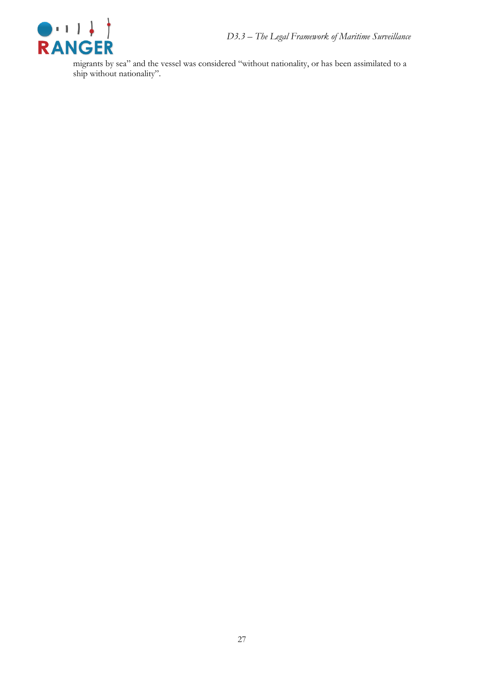

migrants by sea" and the vessel was considered "without nationality, or has been assimilated to a ship without nationality".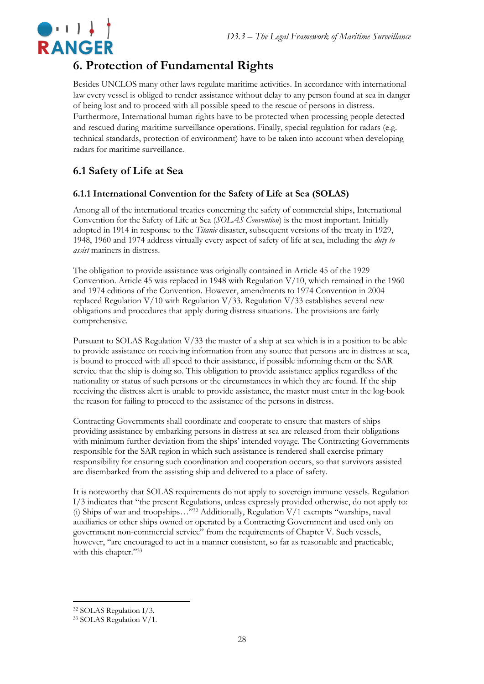# $0:11+$ **RANGER**

# <span id="page-27-0"></span>**6. Protection of Fundamental Rights**

Besides UNCLOS many other laws regulate maritime activities. In accordance with international law every vessel is obliged to render assistance without delay to any person found at sea in danger of being lost and to proceed with all possible speed to the rescue of persons in distress. Furthermore, International human rights have to be protected when processing people detected and rescued during maritime surveillance operations. Finally, special regulation for radars (e.g. technical standards, protection of environment) have to be taken into account when developing radars for maritime surveillance.

# <span id="page-27-1"></span>**6.1 Safety of Life at Sea**

## <span id="page-27-2"></span>**6.1.1 International Convention for the Safety of Life at Sea (SOLAS)**

Among all of the international treaties concerning the safety of commercial ships, International Convention for the Safety of Life at Sea (*SOLAS Convention*) is the most important. Initially adopted in 1914 in response to the *Titanic* disaster, subsequent versions of the treaty in 1929, 1948, 1960 and 1974 address virtually every aspect of safety of life at sea, including the *duty to assist* mariners in distress.

The obligation to provide assistance was originally contained in Article 45 of the 1929 Convention. Article 45 was replaced in 1948 with Regulation V/10, which remained in the 1960 and 1974 editions of the Convention. However, amendments to 1974 Convention in 2004 replaced Regulation V/10 with Regulation V/33. Regulation V/33 establishes several new obligations and procedures that apply during distress situations. The provisions are fairly comprehensive.

Pursuant to SOLAS Regulation V/33 the master of a ship at sea which is in a position to be able to provide assistance on receiving information from any source that persons are in distress at sea, is bound to proceed with all speed to their assistance, if possible informing them or the SAR service that the ship is doing so. This obligation to provide assistance applies regardless of the nationality or status of such persons or the circumstances in which they are found. If the ship receiving the distress alert is unable to provide assistance, the master must enter in the log-book the reason for failing to proceed to the assistance of the persons in distress.

Contracting Governments shall coordinate and cooperate to ensure that masters of ships providing assistance by embarking persons in distress at sea are released from their obligations with minimum further deviation from the ships' intended voyage. The Contracting Governments responsible for the SAR region in which such assistance is rendered shall exercise primary responsibility for ensuring such coordination and cooperation occurs, so that survivors assisted are disembarked from the assisting ship and delivered to a place of safety.

It is noteworthy that SOLAS requirements do not apply to sovereign immune vessels. Regulation I/3 indicates that "the present Regulations, unless expressly provided otherwise, do not apply to: (i) Ships of war and troopships…"<sup>32</sup> Additionally, Regulation V/1 exempts "warships, naval auxiliaries or other ships owned or operated by a Contracting Government and used only on government non-commercial service" from the requirements of Chapter V. Such vessels, however, "are encouraged to act in a manner consistent, so far as reasonable and practicable, with this chapter."33

**<sup>.</sup>** <sup>32</sup> SOLAS Regulation I/3.

<sup>33</sup> SOLAS Regulation V/1.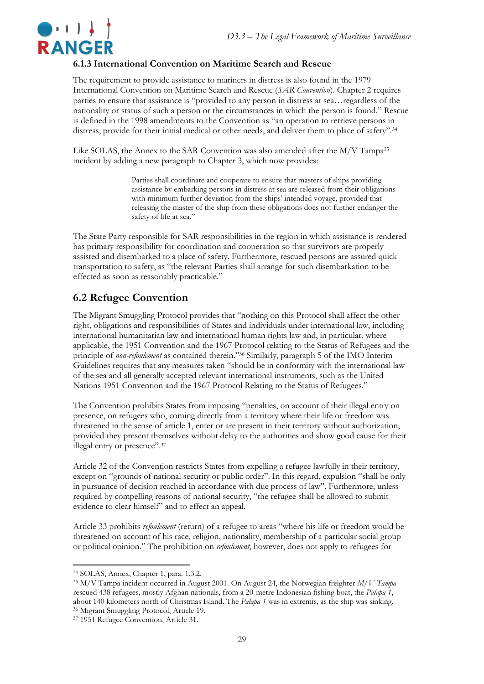

#### <span id="page-28-0"></span>**6.1.3 International Convention on Maritime Search and Rescue**

The requirement to provide assistance to mariners in distress is also found in the 1979 International Convention on Maritime Search and Rescue (*SAR Convention*). Chapter 2 requires parties to ensure that assistance is "provided to any person in distress at sea…regardless of the nationality or status of such a person or the circumstances in which the person is found." Rescue is defined in the 1998 amendments to the Convention as "an operation to retrieve persons in distress, provide for their initial medical or other needs, and deliver them to place of safety".<sup>34</sup>

Like SOLAS, the Annex to the SAR Convention was also amended after the  $M/V$  Tampa<sup>35</sup> incident by adding a new paragraph to Chapter 3, which now provides:

> Parties shall coordinate and cooperate to ensure that masters of ships providing assistance by embarking persons in distress at sea are released from their obligations with minimum further deviation from the ships' intended voyage, provided that releasing the master of the ship from these obligations does not further endanger the safety of life at sea."

The State Party responsible for SAR responsibilities in the region in which assistance is rendered has primary responsibility for coordination and cooperation so that survivors are properly assisted and disembarked to a place of safety. Furthermore, rescued persons are assured quick transportation to safety, as "the relevant Parties shall arrange for such disembarkation to be effected as soon as reasonably practicable."

## <span id="page-28-1"></span>**6.2 Refugee Convention**

The Migrant Smuggling Protocol provides that "nothing on this Protocol shall affect the other right, obligations and responsibilities of States and individuals under international law, including international humanitarian law and international human rights law and, in particular, where applicable, the 1951 Convention and the 1967 Protocol relating to the Status of Refugees and the principle of *non-refoulement* as contained therein."<sup>36</sup> Similarly, paragraph 5 of the IMO Interim Guidelines requires that any measures taken "should be in conformity with the international law of the sea and all generally accepted relevant international instruments, such as the United Nations 1951 Convention and the 1967 Protocol Relating to the Status of Refugees."

The Convention prohibits States from imposing "penalties, on account of their illegal entry on presence, on refugees who, coming directly from a territory where their life or freedom was threatened in the sense of article 1, enter or are present in their territory without authorization, provided they present themselves without delay to the authorities and show good cause for their illegal entry or presence".<sup>37</sup>

Article 32 of the Convention restricts States from expelling a refugee lawfully in their territory, except on "grounds of national security or public order". In this regard, expulsion "shall be only in pursuance of decision reached in accordance with due process of law". Furthermore, unless required by compelling reasons of national security, "the refugee shall be allowed to submit evidence to clear himself" and to effect an appeal.

Article 33 prohibits *refoulement* (return) of a refugee to areas "where his life or freedom would be threatened on account of his race, religion, nationality, membership of a particular social group or political opinion." The prohibition on *refoulement*, however, does not apply to refugees for

**.** 

<sup>34</sup> SOLAS, Annex, Chapter 1, para. 1.3.2.

<sup>35</sup> M/V Tampa incident occurred in August 2001. On August 24, the Norwegian freighter *M/V Tampa* rescued 438 refugees, mostly Afghan nationals, from a 20-metre Indonesian fishing boat, the *Palapa 1*, about 140 kilometers north of Christmas Island. The *Palapa 1* was in extremis, as the ship was sinking. <sup>36</sup> Migrant Smuggling Protocol, Article 19.

<sup>37</sup> 1951 Refugee Convention, Article 31.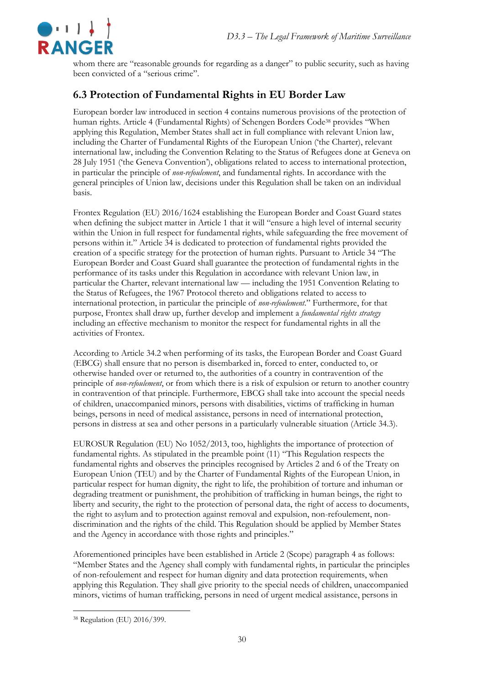

whom there are "reasonable grounds for regarding as a danger" to public security, such as having been convicted of a "serious crime".

## <span id="page-29-0"></span>**6.3 Protection of Fundamental Rights in EU Border Law**

European border law introduced in section 4 contains numerous provisions of the protection of human rights. Article 4 (Fundamental Rights) of Schengen Borders Code<sup>38</sup> provides "When applying this Regulation, Member States shall act in full compliance with relevant Union law, including the Charter of Fundamental Rights of the European Union ('the Charter), relevant international law, including the Convention Relating to the Status of Refugees done at Geneva on 28 July 1951 ('the Geneva Convention'), obligations related to access to international protection, in particular the principle of *non-refoulement*, and fundamental rights. In accordance with the general principles of Union law, decisions under this Regulation shall be taken on an individual basis.

Frontex Regulation (EU) 2016/1624 establishing the European Border and Coast Guard states when defining the subject matter in Article 1 that it will "ensure a high level of internal security within the Union in full respect for fundamental rights, while safeguarding the free movement of persons within it." Article 34 is dedicated to protection of fundamental rights provided the creation of a specific strategy for the protection of human rights. Pursuant to Article 34 "The European Border and Coast Guard shall guarantee the protection of fundamental rights in the performance of its tasks under this Regulation in accordance with relevant Union law, in particular the Charter, relevant international law — including the 1951 Convention Relating to the Status of Refugees, the 1967 Protocol thereto and obligations related to access to international protection, in particular the principle of *non-refoulement*." Furthermore, for that purpose, Frontex shall draw up, further develop and implement a *fundamental rights strategy*  including an effective mechanism to monitor the respect for fundamental rights in all the activities of Frontex.

According to Article 34.2 when performing of its tasks, the European Border and Coast Guard (EBCG) shall ensure that no person is disembarked in, forced to enter, conducted to, or otherwise handed over or returned to, the authorities of a country in contravention of the principle of *non-refoulement*, or from which there is a risk of expulsion or return to another country in contravention of that principle. Furthermore, EBCG shall take into account the special needs of children, unaccompanied minors, persons with disabilities, victims of trafficking in human beings, persons in need of medical assistance, persons in need of international protection, persons in distress at sea and other persons in a particularly vulnerable situation (Article 34.3).

EUROSUR Regulation (EU) No 1052/2013, too, highlights the importance of protection of fundamental rights. As stipulated in the preamble point (11) "This Regulation respects the fundamental rights and observes the principles recognised by Articles 2 and 6 of the Treaty on European Union (TEU) and by the Charter of Fundamental Rights of the European Union, in particular respect for human dignity, the right to life, the prohibition of torture and inhuman or degrading treatment or punishment, the prohibition of trafficking in human beings, the right to liberty and security, the right to the protection of personal data, the right of access to documents, the right to asylum and to protection against removal and expulsion, non-refoulement, nondiscrimination and the rights of the child. This Regulation should be applied by Member States and the Agency in accordance with those rights and principles."

Aforementioned principles have been established in Article 2 (Scope) paragraph 4 as follows: "Member States and the Agency shall comply with fundamental rights, in particular the principles of non-refoulement and respect for human dignity and data protection requirements, when applying this Regulation. They shall give priority to the special needs of children, unaccompanied minors, victims of human trafficking, persons in need of urgent medical assistance, persons in

**<sup>.</sup>** <sup>38</sup> Regulation (EU) 2016/399.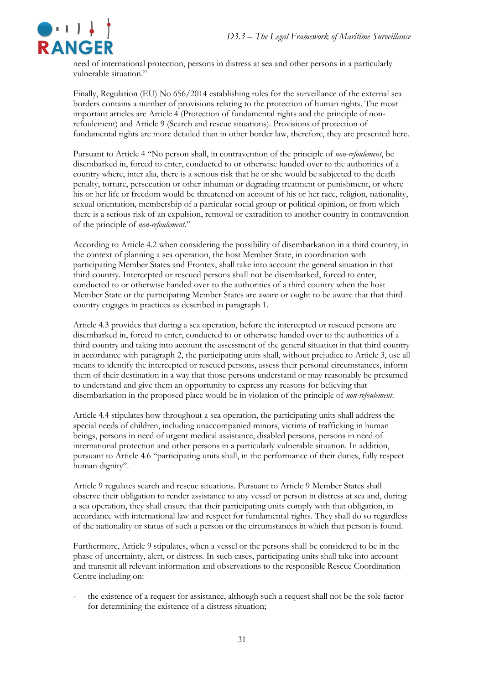

need of international protection, persons in distress at sea and other persons in a particularly vulnerable situation."

Finally, Regulation (EU) No 656/2014 establishing rules for the surveillance of the external sea borders contains a number of provisions relating to the protection of human rights. The most important articles are Article 4 (Protection of fundamental rights and the principle of nonrefoulement) and Article 9 (Search and rescue situations). Provisions of protection of fundamental rights are more detailed than in other border law, therefore, they are presented here.

Pursuant to Article 4 "No person shall, in contravention of the principle of *non-refoulement*, be disembarked in, forced to enter, conducted to or otherwise handed over to the authorities of a country where, inter alia, there is a serious risk that he or she would be subjected to the death penalty, torture, persecution or other inhuman or degrading treatment or punishment, or where his or her life or freedom would be threatened on account of his or her race, religion, nationality, sexual orientation, membership of a particular social group or political opinion, or from which there is a serious risk of an expulsion, removal or extradition to another country in contravention of the principle of *non-refoulement*."

According to Article 4.2 when considering the possibility of disembarkation in a third country, in the context of planning a sea operation, the host Member State, in coordination with participating Member States and Frontex, shall take into account the general situation in that third country. Intercepted or rescued persons shall not be disembarked, forced to enter, conducted to or otherwise handed over to the authorities of a third country when the host Member State or the participating Member States are aware or ought to be aware that that third country engages in practices as described in paragraph 1.

Article 4.3 provides that during a sea operation, before the intercepted or rescued persons are disembarked in, forced to enter, conducted to or otherwise handed over to the authorities of a third country and taking into account the assessment of the general situation in that third country in accordance with paragraph 2, the participating units shall, without prejudice to Article 3, use all means to identify the intercepted or rescued persons, assess their personal circumstances, inform them of their destination in a way that those persons understand or may reasonably be presumed to understand and give them an opportunity to express any reasons for believing that disembarkation in the proposed place would be in violation of the principle of *non-refoulement*.

Article 4.4 stipulates how throughout a sea operation, the participating units shall address the special needs of children, including unaccompanied minors, victims of trafficking in human beings, persons in need of urgent medical assistance, disabled persons, persons in need of international protection and other persons in a particularly vulnerable situation. In addition, pursuant to Article 4.6 "participating units shall, in the performance of their duties, fully respect human dignity".

Article 9 regulates search and rescue situations. Pursuant to Article 9 Member States shall observe their obligation to render assistance to any vessel or person in distress at sea and, during a sea operation, they shall ensure that their participating units comply with that obligation, in accordance with international law and respect for fundamental rights. They shall do so regardless of the nationality or status of such a person or the circumstances in which that person is found.

Furthermore, Article 9 stipulates, when a vessel or the persons shall be considered to be in the phase of uncertainty, alert, or distress. In such cases, participating units shall take into account and transmit all relevant information and observations to the responsible Rescue Coordination Centre including on:

- the existence of a request for assistance, although such a request shall not be the sole factor for determining the existence of a distress situation;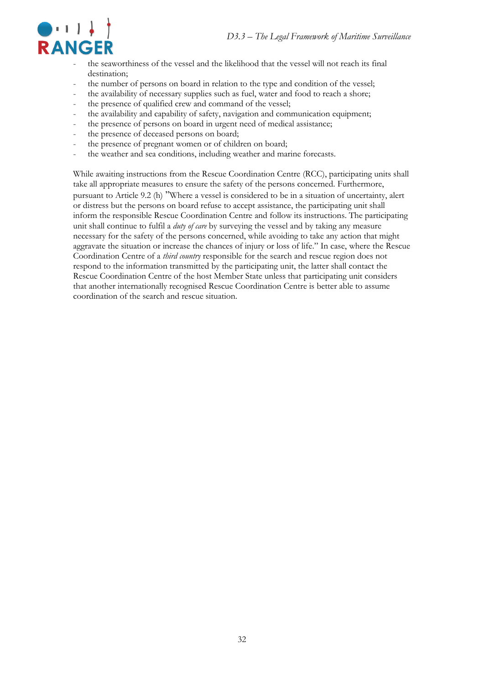

- the seaworthiness of the vessel and the likelihood that the vessel will not reach its final destination;
- the number of persons on board in relation to the type and condition of the vessel;
- the availability of necessary supplies such as fuel, water and food to reach a shore;
- the presence of qualified crew and command of the vessel;
- the availability and capability of safety, navigation and communication equipment;
- the presence of persons on board in urgent need of medical assistance;
- the presence of deceased persons on board;
- the presence of pregnant women or of children on board;
- the weather and sea conditions, including weather and marine forecasts.

While awaiting instructions from the Rescue Coordination Centre (RCC), participating units shall take all appropriate measures to ensure the safety of the persons concerned. Furthermore, pursuant to Article 9.2 (h) "Where a vessel is considered to be in a situation of uncertainty, alert or distress but the persons on board refuse to accept assistance, the participating unit shall inform the responsible Rescue Coordination Centre and follow its instructions. The participating unit shall continue to fulfil a *duty of care* by surveying the vessel and by taking any measure necessary for the safety of the persons concerned, while avoiding to take any action that might aggravate the situation or increase the chances of injury or loss of life." In case, where the Rescue Coordination Centre of a *third country* responsible for the search and rescue region does not respond to the information transmitted by the participating unit, the latter shall contact the Rescue Coordination Centre of the host Member State unless that participating unit considers that another internationally recognised Rescue Coordination Centre is better able to assume coordination of the search and rescue situation.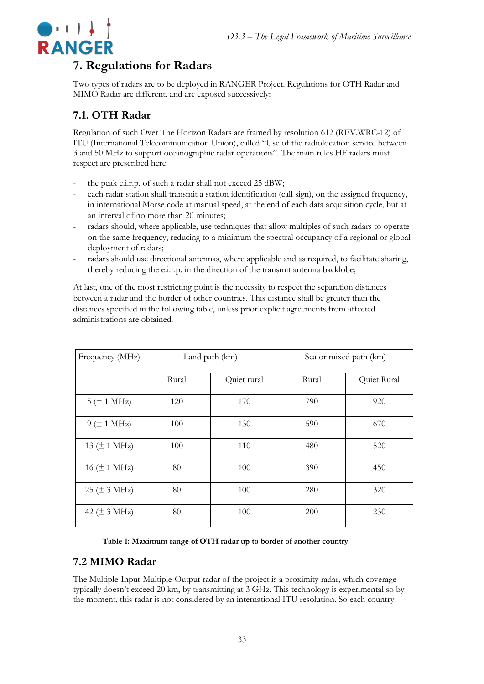

# <span id="page-32-0"></span>**7. Regulations for Radars**

Two types of radars are to be deployed in RANGER Project. Regulations for OTH Radar and MIMO Radar are different, and are exposed successively:

# <span id="page-32-1"></span>**7.1. OTH Radar**

Regulation of such Over The Horizon Radars are framed by resolution 612 (REV.WRC-12) of ITU (International Telecommunication Union), called "Use of the radiolocation service between 3 and 50 MHz to support oceanographic radar operations". The main rules HF radars must respect are prescribed here:

- the peak e.i.r.p. of such a radar shall not exceed 25 dBW;
- each radar station shall transmit a station identification (call sign), on the assigned frequency, in international Morse code at manual speed, at the end of each data acquisition cycle, but at an interval of no more than 20 minutes;
- radars should, where applicable, use techniques that allow multiples of such radars to operate on the same frequency, reducing to a minimum the spectral occupancy of a regional or global deployment of radars;
- radars should use directional antennas, where applicable and as required, to facilitate sharing, thereby reducing the e.i.r.p. in the direction of the transmit antenna backlobe;

At last, one of the most restricting point is the necessity to respect the separation distances between a radar and the border of other countries. This distance shall be greater than the distances specified in the following table, unless prior explicit agreements from affected administrations are obtained.

| Frequency (MHz)                       | Land path (km) |             | Sea or mixed path (km) |             |  |
|---------------------------------------|----------------|-------------|------------------------|-------------|--|
|                                       | Rural          | Quiet rural | Rural                  | Quiet Rural |  |
| $5$ ( $\pm$ 1 MHz)                    | 120            | 170         | 790                    | 920         |  |
| $9$ ( $\pm$ 1 MHz)                    | 100            | 130         | 590                    | 670         |  |
| 13 ( $\pm$ 1 MHz)                     | 100            | 110         | 480                    | 520         |  |
| $16 \left( \pm 1 \text{ MHz} \right)$ | 80             | 100         | 390                    | 450         |  |
| $25 (\pm 3 \text{ MHz})$              | 80             | 100         | 280                    | 320         |  |
| 42 ( $\pm$ 3 MHz)                     | 80             | 100         | 200                    | 230         |  |

**Table 1: Maximum range of OTH radar up to border of another country**

# <span id="page-32-3"></span><span id="page-32-2"></span>**7.2 MIMO Radar**

The Multiple-Input-Multiple-Output radar of the project is a proximity radar, which coverage typically doesn't exceed 20 km, by transmitting at 3 GHz. This technology is experimental so by the moment, this radar is not considered by an international ITU resolution. So each country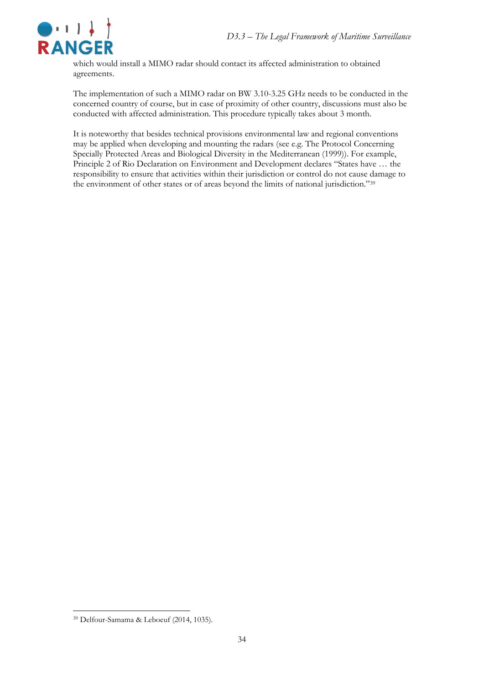

which would install a MIMO radar should contact its affected administration to obtained agreements.

The implementation of such a MIMO radar on BW 3.10-3.25 GHz needs to be conducted in the concerned country of course, but in case of proximity of other country, discussions must also be conducted with affected administration. This procedure typically takes about 3 month.

It is noteworthy that besides technical provisions environmental law and regional conventions may be applied when developing and mounting the radars (see e.g. The Protocol Concerning Specially Protected Areas and Biological Diversity in the Mediterranean (1999)). For example, Principle 2 of Rio Declaration on Environment and Development declares "States have … the responsibility to ensure that activities within their jurisdiction or control do not cause damage to the environment of other states or of areas beyond the limits of national jurisdiction."<sup>39</sup>

**<sup>.</sup>** <sup>39</sup> Delfour-Samama & Leboeuf (2014, 1035).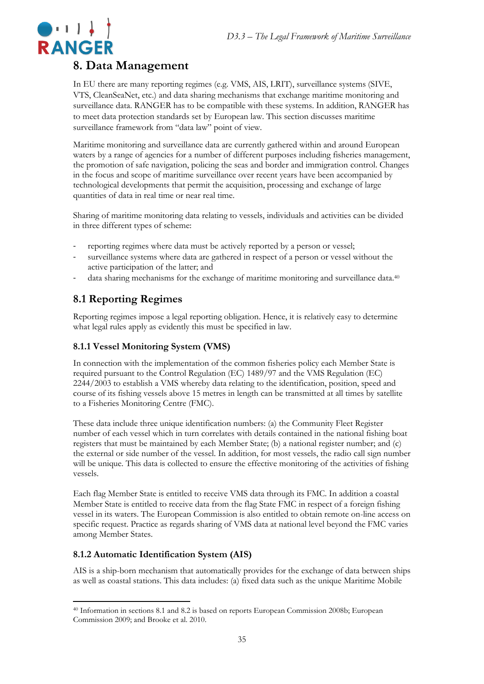# $\bullet$   $\cdot$   $\circ$   $\circ$   $\circ$ **RANGER 8. Data Management**

<span id="page-34-0"></span>In EU there are many reporting regimes (e.g. VMS, AIS, LRIT), surveillance systems (SIVE, VTS, CleanSeaNet, etc.) and data sharing mechanisms that exchange maritime monitoring and surveillance data. RANGER has to be compatible with these systems. In addition, RANGER has to meet data protection standards set by European law. This section discusses maritime surveillance framework from "data law" point of view.

Maritime monitoring and surveillance data are currently gathered within and around European waters by a range of agencies for a number of different purposes including fisheries management, the promotion of safe navigation, policing the seas and border and immigration control. Changes in the focus and scope of maritime surveillance over recent years have been accompanied by technological developments that permit the acquisition, processing and exchange of large quantities of data in real time or near real time.

Sharing of maritime monitoring data relating to vessels, individuals and activities can be divided in three different types of scheme:

- reporting regimes where data must be actively reported by a person or vessel;
- surveillance systems where data are gathered in respect of a person or vessel without the active participation of the latter; and
- <span id="page-34-1"></span>data sharing mechanisms for the exchange of maritime monitoring and surveillance data.<sup>40</sup>

## **8.1 Reporting Regimes**

Reporting regimes impose a legal reporting obligation. Hence, it is relatively easy to determine what legal rules apply as evidently this must be specified in law.

#### <span id="page-34-2"></span>**8.1.1 Vessel Monitoring System (VMS)**

In connection with the implementation of the common fisheries policy each Member State is required pursuant to the Control Regulation (EC) 1489/97 and the VMS Regulation (EC) 2244/2003 to establish a VMS whereby data relating to the identification, position, speed and course of its fishing vessels above 15 metres in length can be transmitted at all times by satellite to a Fisheries Monitoring Centre (FMC).

These data include three unique identification numbers: (a) the Community Fleet Register number of each vessel which in turn correlates with details contained in the national fishing boat registers that must be maintained by each Member State; (b) a national register number; and (c) the external or side number of the vessel. In addition, for most vessels, the radio call sign number will be unique. This data is collected to ensure the effective monitoring of the activities of fishing vessels.

Each flag Member State is entitled to receive VMS data through its FMC. In addition a coastal Member State is entitled to receive data from the flag State FMC in respect of a foreign fishing vessel in its waters. The European Commission is also entitled to obtain remote on-line access on specific request. Practice as regards sharing of VMS data at national level beyond the FMC varies among Member States.

## <span id="page-34-3"></span>**8.1.2 Automatic Identification System (AIS)**

AIS is a ship-born mechanism that automatically provides for the exchange of data between ships as well as coastal stations. This data includes: (a) fixed data such as the unique Maritime Mobile

**<sup>.</sup>** <sup>40</sup> Information in sections 8.1 and 8.2 is based on reports European Commission 2008b; European Commission 2009; and Brooke et al. 2010.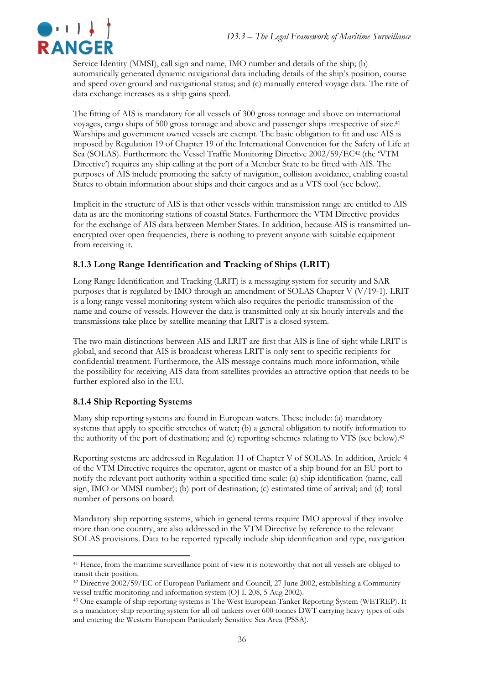

Service Identity (MMSI), call sign and name, IMO number and details of the ship; (b) automatically generated dynamic navigational data including details of the ship's position, course and speed over ground and navigational status; and (c) manually entered voyage data. The rate of data exchange increases as a ship gains speed.

The fitting of AIS is mandatory for all vessels of 300 gross tonnage and above on international voyages, cargo ships of 500 gross tonnage and above and passenger ships irrespective of size.<sup>41</sup> Warships and government owned vessels are exempt. The basic obligation to fit and use AIS is imposed by Regulation 19 of Chapter 19 of the International Convention for the Safety of Life at Sea (SOLAS). Furthermore the Vessel Traffic Monitoring Directive 2002/59/EC<sup>42</sup> (the 'VTM Directive') requires any ship calling at the port of a Member State to be fitted with AIS. The purposes of AIS include promoting the safety of navigation, collision avoidance, enabling coastal States to obtain information about ships and their cargoes and as a VTS tool (see below).

Implicit in the structure of AIS is that other vessels within transmission range are entitled to AIS data as are the monitoring stations of coastal States. Furthermore the VTM Directive provides for the exchange of AIS data between Member States. In addition, because AIS is transmitted unencrypted over open frequencies, there is nothing to prevent anyone with suitable equipment from receiving it.

## <span id="page-35-0"></span>**8.1.3 Long Range Identification and Tracking of Ships (LRIT)**

Long Range Identification and Tracking (LRIT) is a messaging system for security and SAR purposes that is regulated by IMO through an amendment of SOLAS Chapter V (V/19-1). LRIT is a long-range vessel monitoring system which also requires the periodic transmission of the name and course of vessels. However the data is transmitted only at six hourly intervals and the transmissions take place by satellite meaning that LRIT is a closed system.

The two main distinctions between AIS and LRIT are first that AIS is line of sight while LRIT is global, and second that AIS is broadcast whereas LRIT is only sent to specific recipients for confidential treatment. Furthermore, the AIS message contains much more information, while the possibility for receiving AIS data from satellites provides an attractive option that needs to be further explored also in the EU.

## <span id="page-35-1"></span>**8.1.4 Ship Reporting Systems**

Many ship reporting systems are found in European waters. These include: (a) mandatory systems that apply to specific stretches of water; (b) a general obligation to notify information to the authority of the port of destination; and (c) reporting schemes relating to VTS (see below).<sup>43</sup>

Reporting systems are addressed in Regulation 11 of Chapter V of SOLAS. In addition, Article 4 of the VTM Directive requires the operator, agent or master of a ship bound for an EU port to notify the relevant port authority within a specified time scale: (a) ship identification (name, call sign, IMO or MMSI number); (b) port of destination; (c) estimated time of arrival; and (d) total number of persons on board.

Mandatory ship reporting systems, which in general terms require IMO approval if they involve more than one country, are also addressed in the VTM Directive by reference to the relevant SOLAS provisions. Data to be reported typically include ship identification and type, navigation

<sup>1</sup> <sup>41</sup> Hence, from the maritime surveillance point of view it is noteworthy that not all vessels are obliged to transit their position.

<sup>42</sup> Directive 2002/59/EC of European Parliament and Council, 27 June 2002, establishing a Community vessel traffic monitoring and information system (OJ L 208, 5 Aug 2002).

<sup>43</sup> One example of ship reporting systems is The West European Tanker Reporting System (WETREP). It is a mandatory ship reporting system for all oil tankers over 600 tonnes DWT carrying heavy types of oils and entering the Western European Particularly Sensitive Sea Area (PSSA).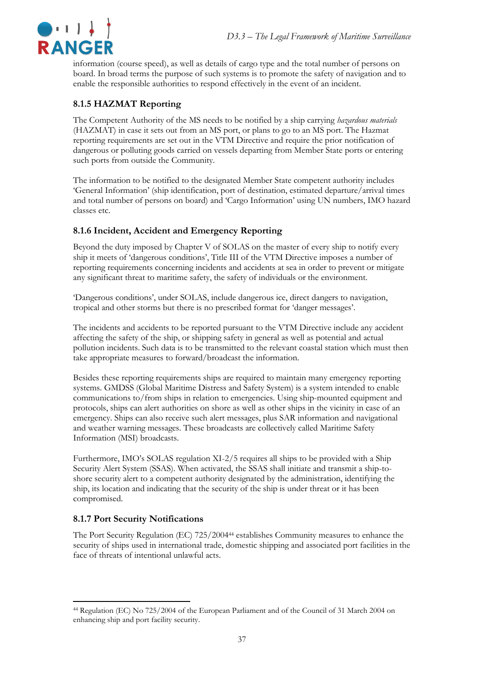

information (course speed), as well as details of cargo type and the total number of persons on board. In broad terms the purpose of such systems is to promote the safety of navigation and to enable the responsible authorities to respond effectively in the event of an incident.

#### <span id="page-36-0"></span>**8.1.5 HAZMAT Reporting**

The Competent Authority of the MS needs to be notified by a ship carrying *hazardous materials* (HAZMAT) in case it sets out from an MS port, or plans to go to an MS port. The Hazmat reporting requirements are set out in the VTM Directive and require the prior notification of dangerous or polluting goods carried on vessels departing from Member State ports or entering such ports from outside the Community.

The information to be notified to the designated Member State competent authority includes 'General Information' (ship identification, port of destination, estimated departure/arrival times and total number of persons on board) and 'Cargo Information' using UN numbers, IMO hazard classes etc.

#### <span id="page-36-1"></span>**8.1.6 Incident, Accident and Emergency Reporting**

Beyond the duty imposed by Chapter V of SOLAS on the master of every ship to notify every ship it meets of 'dangerous conditions', Title III of the VTM Directive imposes a number of reporting requirements concerning incidents and accidents at sea in order to prevent or mitigate any significant threat to maritime safety, the safety of individuals or the environment.

'Dangerous conditions', under SOLAS, include dangerous ice, direct dangers to navigation, tropical and other storms but there is no prescribed format for 'danger messages'.

The incidents and accidents to be reported pursuant to the VTM Directive include any accident affecting the safety of the ship, or shipping safety in general as well as potential and actual pollution incidents. Such data is to be transmitted to the relevant coastal station which must then take appropriate measures to forward/broadcast the information.

Besides these reporting requirements ships are required to maintain many emergency reporting systems. GMDSS (Global Maritime Distress and Safety System) is a system intended to enable communications to/from ships in relation to emergencies. Using ship-mounted equipment and protocols, ships can alert authorities on shore as well as other ships in the vicinity in case of an emergency. Ships can also receive such alert messages, plus SAR information and navigational and weather warning messages. These broadcasts are collectively called Maritime Safety Information (MSI) broadcasts.

Furthermore, IMO's SOLAS regulation XI-2/5 requires all ships to be provided with a Ship Security Alert System (SSAS). When activated, the SSAS shall initiate and transmit a ship-toshore security alert to a competent authority designated by the administration, identifying the ship, its location and indicating that the security of the ship is under threat or it has been compromised.

#### <span id="page-36-2"></span>**8.1.7 Port Security Notifications**

The Port Security Regulation (EC) 725/2004<sup>44</sup> establishes Community measures to enhance the security of ships used in international trade, domestic shipping and associated port facilities in the face of threats of intentional unlawful acts.

**<sup>.</sup>** <sup>44</sup> Regulation (EC) No 725/2004 of the European Parliament and of the Council of 31 March 2004 on enhancing ship and port facility security.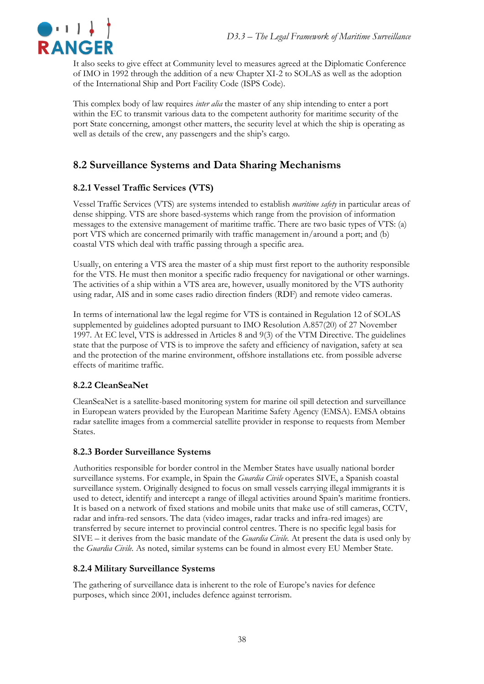

It also seeks to give effect at Community level to measures agreed at the Diplomatic Conference of IMO in 1992 through the addition of a new Chapter XI-2 to SOLAS as well as the adoption of the International Ship and Port Facility Code (ISPS Code).

This complex body of law requires *inter alia* the master of any ship intending to enter a port within the EC to transmit various data to the competent authority for maritime security of the port State concerning, amongst other matters, the security level at which the ship is operating as well as details of the crew, any passengers and the ship's cargo.

## <span id="page-37-0"></span>**8.2 Surveillance Systems and Data Sharing Mechanisms**

## <span id="page-37-1"></span>**8.2.1 Vessel Traffic Services (VTS)**

Vessel Traffic Services (VTS) are systems intended to establish *maritime safety* in particular areas of dense shipping. VTS are shore based-systems which range from the provision of information messages to the extensive management of maritime traffic. There are two basic types of VTS: (a) port VTS which are concerned primarily with traffic management in/around a port; and (b) coastal VTS which deal with traffic passing through a specific area.

Usually, on entering a VTS area the master of a ship must first report to the authority responsible for the VTS. He must then monitor a specific radio frequency for navigational or other warnings. The activities of a ship within a VTS area are, however, usually monitored by the VTS authority using radar, AIS and in some cases radio direction finders (RDF) and remote video cameras.

In terms of international law the legal regime for VTS is contained in Regulation 12 of SOLAS supplemented by guidelines adopted pursuant to IMO Resolution A.857(20) of 27 November 1997. At EC level, VTS is addressed in Articles 8 and 9(3) of the VTM Directive. The guidelines state that the purpose of VTS is to improve the safety and efficiency of navigation, safety at sea and the protection of the marine environment, offshore installations etc. from possible adverse effects of maritime traffic.

## <span id="page-37-2"></span>**8.2.2 CleanSeaNet**

CleanSeaNet is a satellite-based monitoring system for marine oil spill detection and surveillance in European waters provided by the European Maritime Safety Agency (EMSA). EMSA obtains radar satellite images from a commercial satellite provider in response to requests from Member States.

## <span id="page-37-3"></span>**8.2.3 Border Surveillance Systems**

Authorities responsible for border control in the Member States have usually national border surveillance systems. For example, in Spain the *Guardia Civile* operates SIVE, a Spanish coastal surveillance system. Originally designed to focus on small vessels carrying illegal immigrants it is used to detect, identify and intercept a range of illegal activities around Spain's maritime frontiers. It is based on a network of fixed stations and mobile units that make use of still cameras, CCTV, radar and infra-red sensors. The data (video images, radar tracks and infra-red images) are transferred by secure internet to provincial control centres. There is no specific legal basis for SIVE – it derives from the basic mandate of the *Guardia Civile.* At present the data is used only by the *Guardia Civile.* As noted, similar systems can be found in almost every EU Member State.

#### <span id="page-37-4"></span>**8.2.4 Military Surveillance Systems**

The gathering of surveillance data is inherent to the role of Europe's navies for defence purposes, which since 2001, includes defence against terrorism.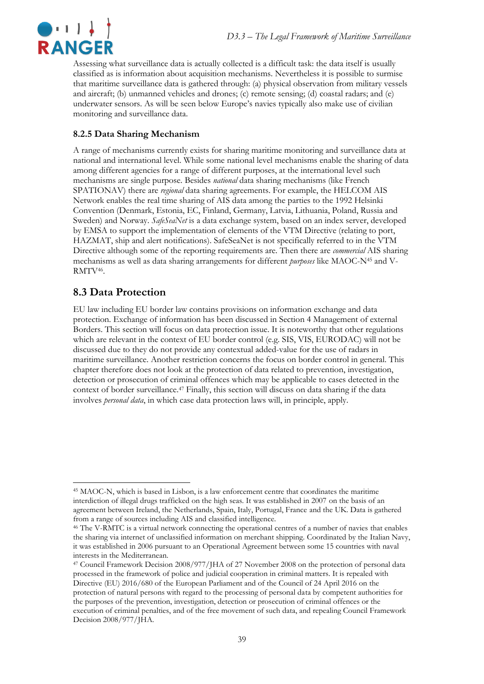

Assessing what surveillance data is actually collected is a difficult task: the data itself is usually classified as is information about acquisition mechanisms. Nevertheless it is possible to surmise that maritime surveillance data is gathered through: (a) physical observation from military vessels and aircraft; (b) unmanned vehicles and drones; (c) remote sensing; (d) coastal radars; and (e) underwater sensors. As will be seen below Europe's navies typically also make use of civilian monitoring and surveillance data.

#### <span id="page-38-0"></span>**8.2.5 Data Sharing Mechanism**

A range of mechanisms currently exists for sharing maritime monitoring and surveillance data at national and international level. While some national level mechanisms enable the sharing of data among different agencies for a range of different purposes, at the international level such mechanisms are single purpose. Besides *national* data sharing mechanisms (like French SPATIONAV) there are *regional* data sharing agreements. For example, the HELCOM AIS Network enables the real time sharing of AIS data among the parties to the 1992 Helsinki Convention (Denmark, Estonia, EC, Finland, Germany, Latvia, Lithuania, Poland, Russia and Sweden) and Norway. *SafeSeaNet* is a data exchange system, based on an index server, developed by EMSA to support the implementation of elements of the VTM Directive (relating to port, HAZMAT, ship and alert notifications). SafeSeaNet is not specifically referred to in the VTM Directive although some of the reporting requirements are. Then there are *commercial* AIS sharing mechanisms as well as data sharing arrangements for different *purposes* like MAOC-N<sup>45</sup> and V-RMTV<sup>46</sup>.

## <span id="page-38-1"></span>**8.3 Data Protection**

**.** 

EU law including EU border law contains provisions on information exchange and data protection. Exchange of information has been discussed in Section 4 Management of external Borders. This section will focus on data protection issue. It is noteworthy that other regulations which are relevant in the context of EU border control (e.g. SIS, VIS, EURODAC) will not be discussed due to they do not provide any contextual added-value for the use of radars in maritime surveillance. Another restriction concerns the focus on border control in general. This chapter therefore does not look at the protection of data related to prevention, investigation, detection or prosecution of criminal offences which may be applicable to cases detected in the context of border surveillance. <sup>47</sup> Finally, this section will discuss on data sharing if the data involves *personal data*, in which case data protection laws will, in principle, apply.

<sup>45</sup> MAOC-N, which is based in Lisbon, is a law enforcement centre that coordinates the maritime interdiction of illegal drugs trafficked on the high seas. It was established in 2007 on the basis of an agreement between Ireland, the Netherlands, Spain, Italy, Portugal, France and the UK. Data is gathered from a range of sources including AIS and classified intelligence.

<sup>46</sup> The V-RMTC is a virtual network connecting the operational centres of a number of navies that enables the sharing via internet of unclassified information on merchant shipping. Coordinated by the Italian Navy, it was established in 2006 pursuant to an Operational Agreement between some 15 countries with naval interests in the Mediterranean.

<sup>47</sup> Council Framework Decision 2008/977/JHA of 27 November 2008 on the protection of personal data processed in the framework of police and judicial cooperation in criminal matters. It is repealed with Directive (EU) 2016/680 of the European Parliament and of the Council of 24 April 2016 on the protection of natural persons with regard to the processing of personal data by competent authorities for the purposes of the prevention, investigation, detection or prosecution of criminal offences or the execution of criminal penalties, and of the free movement of such data, and repealing Council Framework Decision 2008/977/JHA.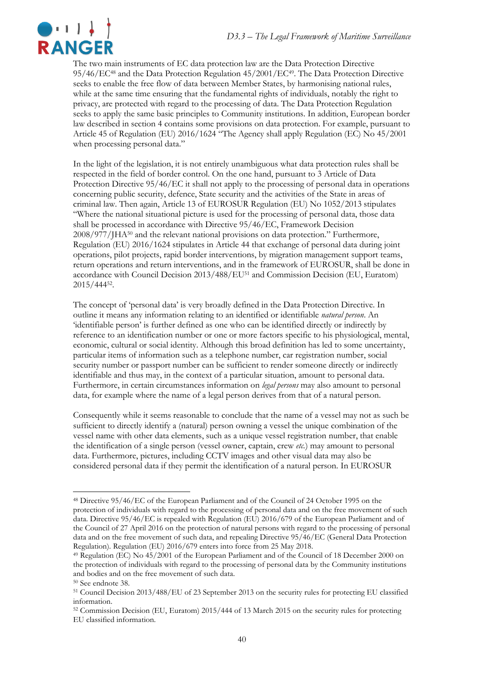

The two main instruments of EC data protection law are the Data Protection Directive 95/46/EC<sup>48</sup> and the Data Protection Regulation 45/2001/EC49. The Data Protection Directive seeks to enable the free flow of data between Member States, by harmonising national rules, while at the same time ensuring that the fundamental rights of individuals, notably the right to privacy, are protected with regard to the processing of data. The Data Protection Regulation seeks to apply the same basic principles to Community institutions. In addition, European border law described in section 4 contains some provisions on data protection. For example, pursuant to Article 45 of Regulation (EU) 2016/1624 "The Agency shall apply Regulation (EC) No 45/2001 when processing personal data."

In the light of the legislation, it is not entirely unambiguous what data protection rules shall be respected in the field of border control. On the one hand, pursuant to 3 Article of Data Protection Directive 95/46/EC it shall not apply to the processing of personal data in operations concerning public security, defence, State security and the activities of the State in areas of criminal law. Then again, Article 13 of EUROSUR Regulation (EU) No 1052/2013 stipulates "Where the national situational picture is used for the processing of personal data, those data shall be processed in accordance with Directive 95/46/EC, Framework Decision 2008/977/JHA<sup>50</sup> and the relevant national provisions on data protection." Furthermore, Regulation (EU) 2016/1624 stipulates in Article 44 that exchange of personal data during joint operations, pilot projects, rapid border interventions, by migration management support teams, return operations and return interventions, and in the framework of EUROSUR, shall be done in accordance with Council Decision 2013/488/EU<sup>51</sup> and Commission Decision (EU, Euratom) 2015/444<sup>52</sup> .

The concept of 'personal data' is very broadly defined in the Data Protection Directive. In outline it means any information relating to an identified or identifiable *natural person*. An 'identifiable person' is further defined as one who can be identified directly or indirectly by reference to an identification number or one or more factors specific to his physiological, mental, economic, cultural or social identity. Although this broad definition has led to some uncertainty, particular items of information such as a telephone number, car registration number, social security number or passport number can be sufficient to render someone directly or indirectly identifiable and thus may, in the context of a particular situation, amount to personal data. Furthermore, in certain circumstances information on *legal persons* may also amount to personal data, for example where the name of a legal person derives from that of a natural person.

Consequently while it seems reasonable to conclude that the name of a vessel may not as such be sufficient to directly identify a (natural) person owning a vessel the unique combination of the vessel name with other data elements, such as a unique vessel registration number, that enable the identification of a single person (vessel owner, captain, crew *etc.*) may amount to personal data. Furthermore, pictures, including CCTV images and other visual data may also be considered personal data if they permit the identification of a natural person. In EUROSUR

**.** 

<sup>48</sup> Directive 95/46/EC of the European Parliament and of the Council of 24 October 1995 on the protection of individuals with regard to the processing of personal data and on the free movement of such data. Directive 95/46/EC is repealed with Regulation (EU) 2016/679 of the European Parliament and of the Council of 27 April 2016 on the protection of natural persons with regard to the processing of personal data and on the free movement of such data, and repealing Directive 95/46/EC (General Data Protection Regulation). Regulation (EU) 2016/679 enters into force from 25 May 2018.

<sup>49</sup> Regulation (EC) No 45/2001 of the European Parliament and of the Council of 18 December 2000 on the protection of individuals with regard to the processing of personal data by the Community institutions and bodies and on the free movement of such data.

<sup>50</sup> See endnote 38.

<sup>51</sup> Council Decision 2013/488/EU of 23 September 2013 on the security rules for protecting EU classified information.

<sup>52</sup> Commission Decision (EU, Euratom) 2015/444 of 13 March 2015 on the security rules for protecting EU classified information.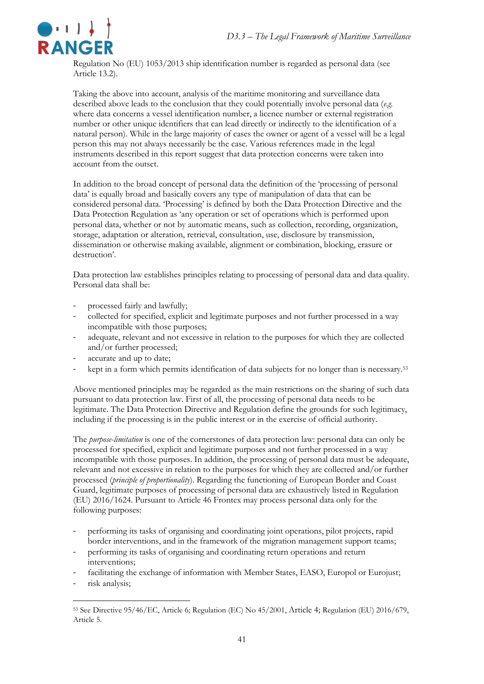

Regulation No (EU) 1053/2013 ship identification number is regarded as personal data (see Article 13.2).

Taking the above into account, analysis of the maritime monitoring and surveillance data described above leads to the conclusion that they could potentially involve personal data (*e.g.* where data concerns a vessel identification number, a licence number or external registration number or other unique identifiers that can lead directly or indirectly to the identification of a natural person). While in the large majority of cases the owner or agent of a vessel will be a legal person this may not always necessarily be the case. Various references made in the legal instruments described in this report suggest that data protection concerns were taken into account from the outset.

In addition to the broad concept of personal data the definition of the 'processing of personal data' is equally broad and basically covers any type of manipulation of data that can be considered personal data. 'Processing' is defined by both the Data Protection Directive and the Data Protection Regulation as 'any operation or set of operations which is performed upon personal data, whether or not by automatic means, such as collection, recording, organization, storage, adaptation or alteration, retrieval, consultation, use, disclosure by transmission, dissemination or otherwise making available, alignment or combination, blocking, erasure or destruction'.

Data protection law establishes principles relating to processing of personal data and data quality. Personal data shall be:

- processed fairly and lawfully;
- collected for specified, explicit and legitimate purposes and not further processed in a way incompatible with those purposes;
- adequate, relevant and not excessive in relation to the purposes for which they are collected and/or further processed;
- accurate and up to date;
- kept in a form which permits identification of data subjects for no longer than is necessary.<sup>53</sup>

Above mentioned principles may be regarded as the main restrictions on the sharing of such data pursuant to data protection law. First of all, the processing of personal data needs to be legitimate. The Data Protection Directive and Regulation define the grounds for such legitimacy, including if the processing is in the public interest or in the exercise of official authority.

The *purpose-limitation* is one of the cornerstones of data protection law: personal data can only be processed for specified, explicit and legitimate purposes and not further processed in a way incompatible with those purposes. In addition, the processing of personal data must be adequate, relevant and not excessive in relation to the purposes for which they are collected and/or further processed (*principle of proportionality*). Regarding the functioning of European Border and Coast Guard, legitimate purposes of processing of personal data are exhaustively listed in Regulation (EU) 2016/1624. Pursuant to Article 46 Frontex may process personal data only for the following purposes:

- performing its tasks of organising and coordinating joint operations, pilot projects, rapid border interventions, and in the framework of the migration management support teams;
- performing its tasks of organising and coordinating return operations and return interventions;
- facilitating the exchange of information with Member States, EASO, Europol or Eurojust;
- risk analysis;

1

<sup>53</sup> See Directive 95/46/EC, Article 6; Regulation (EC) No 45/2001, Article 4; Regulation (EU) 2016/679, Article 5.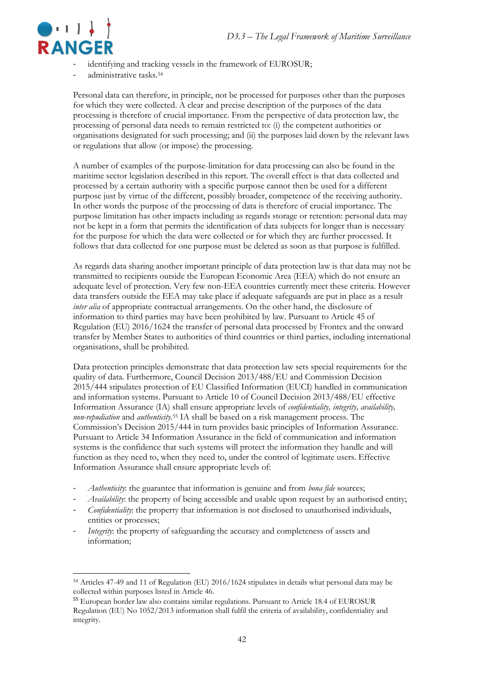

- identifying and tracking vessels in the framework of EUROSUR;
- administrative tasks.<sup>54</sup>

Personal data can therefore, in principle, not be processed for purposes other than the purposes for which they were collected. A clear and precise description of the purposes of the data processing is therefore of crucial importance. From the perspective of data protection law, the processing of personal data needs to remain restricted to: (i) the competent authorities or organisations designated for such processing; and (ii) the purposes laid down by the relevant laws or regulations that allow (or impose) the processing.

A number of examples of the purpose-limitation for data processing can also be found in the maritime sector legislation described in this report. The overall effect is that data collected and processed by a certain authority with a specific purpose cannot then be used for a different purpose just by virtue of the different, possibly broader, competence of the receiving authority. In other words the purpose of the processing of data is therefore of crucial importance. The purpose limitation has other impacts including as regards storage or retention: personal data may not be kept in a form that permits the identification of data subjects for longer than is necessary for the purpose for which the data were collected or for which they are further processed. It follows that data collected for one purpose must be deleted as soon as that purpose is fulfilled.

As regards data sharing another important principle of data protection law is that data may not be transmitted to recipients outside the European Economic Area (EEA) which do not ensure an adequate level of protection. Very few non-EEA countries currently meet these criteria. However data transfers outside the EEA may take place if adequate safeguards are put in place as a result *inter alia* of appropriate contractual arrangements. On the other hand, the disclosure of information to third parties may have been prohibited by law. Pursuant to Article 45 of Regulation (EU) 2016/1624 the transfer of personal data processed by Frontex and the onward transfer by Member States to authorities of third countries or third parties, including international organisations, shall be prohibited.

Data protection principles demonstrate that data protection law sets special requirements for the quality of data. Furthermore, Council Decision 2013/488/EU and Commission Decision 2015/444 stipulates protection of EU Classified Information (EUCI) handled in communication and information systems. Pursuant to Article 10 of Council Decision 2013/488/EU effective Information Assurance (IA) shall ensure appropriate levels of *confidentiality, integrity, availability, non-repudiation* and *authenticity*. <sup>55</sup> IA shall be based on a risk management process. The Commission's Decision 2015/444 in turn provides basic principles of Information Assurance. Pursuant to Article 34 Information Assurance in the field of communication and information systems is the confidence that such systems will protect the information they handle and will function as they need to, when they need to, under the control of legitimate users. Effective Information Assurance shall ensure appropriate levels of:

- *Authenticity*: the guarantee that information is genuine and from *bona fide* sources;
- Availability: the property of being accessible and usable upon request by an authorised entity;
- *Confidentiality*: the property that information is not disclosed to unauthorised individuals, entities or processes;
- *Integrity*: the property of safeguarding the accuracy and completeness of assets and information;

 $\overline{\phantom{a}}$ <sup>54</sup> Articles 47-49 and 11 of Regulation (EU) 2016/1624 stipulates in details what personal data may be collected within purposes listed in Article 46.

<sup>55</sup> European border law also contains similar regulations. Pursuant to Article 18.4 of EUROSUR Regulation (EU) No 1052/2013 information shall fulfil the criteria of availability, confidentiality and integrity.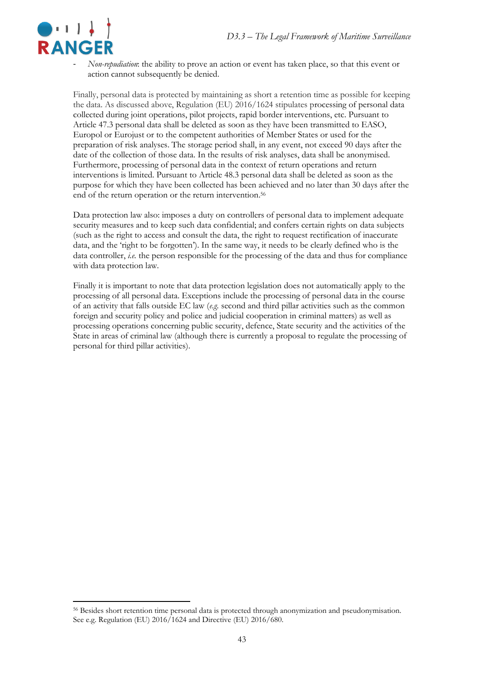

**.** 

- *Non-repudiation*: the ability to prove an action or event has taken place, so that this event or action cannot subsequently be denied.

Finally, personal data is protected by maintaining as short a retention time as possible for keeping the data. As discussed above, Regulation (EU) 2016/1624 stipulates processing of personal data collected during joint operations, pilot projects, rapid border interventions, etc. Pursuant to Article 47.3 personal data shall be deleted as soon as they have been transmitted to EASO, Europol or Eurojust or to the competent authorities of Member States or used for the preparation of risk analyses. The storage period shall, in any event, not exceed 90 days after the date of the collection of those data. In the results of risk analyses, data shall be anonymised. Furthermore, processing of personal data in the context of return operations and return interventions is limited. Pursuant to Article 48.3 personal data shall be deleted as soon as the purpose for which they have been collected has been achieved and no later than 30 days after the end of the return operation or the return intervention.<sup>56</sup>

Data protection law also: imposes a duty on controllers of personal data to implement adequate security measures and to keep such data confidential; and confers certain rights on data subjects (such as the right to access and consult the data, the right to request rectification of inaccurate data, and the 'right to be forgotten'). In the same way, it needs to be clearly defined who is the data controller, *i.e.* the person responsible for the processing of the data and thus for compliance with data protection law.

Finally it is important to note that data protection legislation does not automatically apply to the processing of all personal data. Exceptions include the processing of personal data in the course of an activity that falls outside EC law (*e.g.* second and third pillar activities such as the common foreign and security policy and police and judicial cooperation in criminal matters) as well as processing operations concerning public security, defence, State security and the activities of the State in areas of criminal law (although there is currently a proposal to regulate the processing of personal for third pillar activities).

<sup>56</sup> Besides short retention time personal data is protected through anonymization and pseudonymisation. See e.g. Regulation (EU) 2016/1624 and Directive (EU) 2016/680.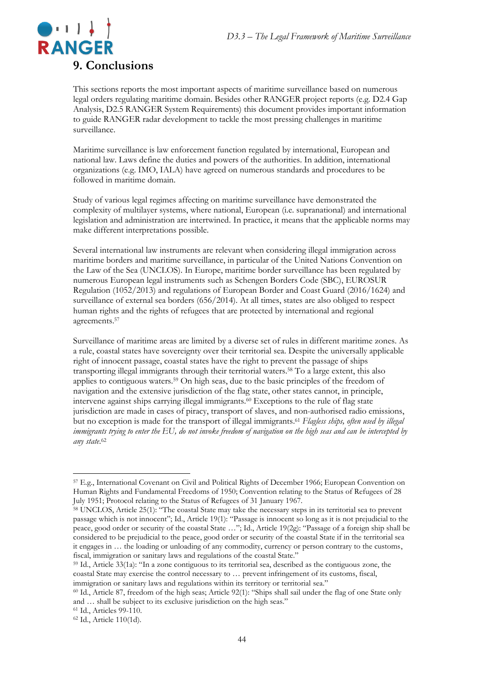

<span id="page-43-0"></span>This sections reports the most important aspects of maritime surveillance based on numerous legal orders regulating maritime domain. Besides other RANGER project reports (e.g. D2.4 Gap Analysis, D2.5 RANGER System Requirements) this document provides important information to guide RANGER radar development to tackle the most pressing challenges in maritime surveillance.

Maritime surveillance is law enforcement function regulated by international, European and national law. Laws define the duties and powers of the authorities. In addition, international organizations (e.g. IMO, IALA) have agreed on numerous standards and procedures to be followed in maritime domain.

Study of various legal regimes affecting on maritime surveillance have demonstrated the complexity of multilayer systems, where national, European (i.e. supranational) and international legislation and administration are intertwined. In practice, it means that the applicable norms may make different interpretations possible.

Several international law instruments are relevant when considering illegal immigration across maritime borders and maritime surveillance, in particular of the United Nations Convention on the Law of the Sea (UNCLOS). In Europe, maritime border surveillance has been regulated by numerous European legal instruments such as Schengen Borders Code (SBC), EUROSUR Regulation (1052/2013) and regulations of European Border and Coast Guard (2016/1624) and surveillance of external sea borders (656/2014). At all times, states are also obliged to respect human rights and the rights of refugees that are protected by international and regional agreements.<sup>57</sup>

Surveillance of maritime areas are limited by a diverse set of rules in different maritime zones. As a rule, coastal states have sovereignty over their territorial sea. Despite the universally applicable right of innocent passage, coastal states have the right to prevent the passage of ships transporting illegal immigrants through their territorial waters.<sup>58</sup> To a large extent, this also applies to contiguous waters.<sup>59</sup> On high seas, due to the basic principles of the freedom of navigation and the extensive jurisdiction of the flag state, other states cannot, in principle, intervene against ships carrying illegal immigrants.<sup>60</sup> Exceptions to the rule of flag state jurisdiction are made in cases of piracy, transport of slaves, and non-authorised radio emissions, but no exception is made for the transport of illegal immigrants.<sup>61</sup> *Flagless ships, often used by illegal immigrants trying to enter the EU, do not invoke freedom of navigation on the high seas and can be intercepted by any state*. 62

<sup>60</sup> Id., Article 87, freedom of the high seas; Article 92(1): "Ships shall sail under the flag of one State only and … shall be subject to its exclusive jurisdiction on the high seas."

**.** 

<sup>62</sup> Id., Article 110(1d).

<sup>57</sup> E.g., International Covenant on Civil and Political Rights of December 1966; European Convention on Human Rights and Fundamental Freedoms of 1950; Convention relating to the Status of Refugees of 28 July 1951; Protocol relating to the Status of Refugees of 31 January 1967.

<sup>58</sup> UNCLOS, Article 25(1): "The coastal State may take the necessary steps in its territorial sea to prevent passage which is not innocent"; Id., Article 19(1): "Passage is innocent so long as it is not prejudicial to the peace, good order or security of the coastal State …"; Id., Article 19(2g): "Passage of a foreign ship shall be considered to be prejudicial to the peace, good order or security of the coastal State if in the territorial sea it engages in … the loading or unloading of any commodity, currency or person contrary to the customs, fiscal, immigration or sanitary laws and regulations of the coastal State."

<sup>59</sup> Id., Article 33(1a): "In a zone contiguous to its territorial sea, described as the contiguous zone, the coastal State may exercise the control necessary to … prevent infringement of its customs, fiscal, immigration or sanitary laws and regulations within its territory or territorial sea."

<sup>61</sup> Id., Articles 99-110.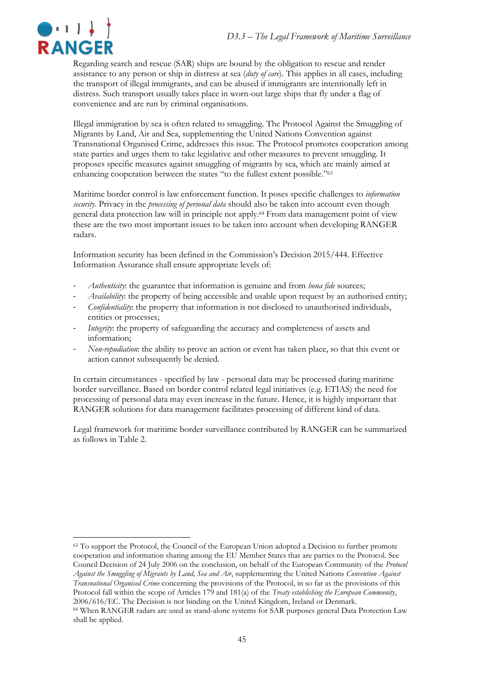

**.** 

Regarding search and rescue (SAR) ships are bound by the obligation to rescue and render assistance to any person or ship in distress at sea (*duty of care*). This applies in all cases, including the transport of illegal immigrants, and can be abused if immigrants are intentionally left in distress. Such transport usually takes place in worn-out large ships that fly under a flag of convenience and are run by criminal organisations.

Illegal immigration by sea is often related to smuggling. The Protocol Against the Smuggling of Migrants by Land, Air and Sea, supplementing the United Nations Convention against Transnational Organised Crime, addresses this issue. The Protocol promotes cooperation among state parties and urges them to take legislative and other measures to prevent smuggling. It proposes specific measures against smuggling of migrants by sea, which are mainly aimed at enhancing cooperation between the states "to the fullest extent possible."<sup>63</sup>

Maritime border control is law enforcement function. It poses specific challenges to *information security*. Privacy in the *processing of personal data* should also be taken into account even though general data protection law will in principle not apply. <sup>64</sup> From data management point of view these are the two most important issues to be taken into account when developing RANGER radars.

Information security has been defined in the Commission's Decision 2015/444. Effective Information Assurance shall ensure appropriate levels of:

- *Authenticity*: the guarantee that information is genuine and from *bona fide* sources;
- *Availability*: the property of being accessible and usable upon request by an authorised entity;
- *Confidentiality*: the property that information is not disclosed to unauthorised individuals, entities or processes;
- *Integrity*: the property of safeguarding the accuracy and completeness of assets and information;
- *Non-repudiation*: the ability to prove an action or event has taken place, so that this event or action cannot subsequently be denied.

In certain circumstances - specified by law - personal data may be processed during maritime border surveillance. Based on border control related legal initiatives (e.g. ETIAS) the need for processing of personal data may even increase in the future. Hence, it is highly important that RANGER solutions for data management facilitates processing of different kind of data.

Legal framework for maritime border surveillance contributed by RANGER can be summarized as follows in Table 2.

<sup>63</sup> To support the Protocol, the Council of the European Union adopted a Decision to further promote cooperation and information sharing among the EU Member States that are parties to the Protocol. See Council Decision of 24 July 2006 on the conclusion, on behalf of the European Community of the *Protocol Against the Smuggling of Migrants by Land, Sea and Air*, supplementing the United Nations *Convention Against Transnational Organised Crime* concerning the provisions of the Protocol, in so far as the provisions of this Protocol fall within the scope of Articles 179 and 181(a) of the *Treaty establishing the European Community*,

<sup>2006/616/</sup>EC. The Decision is not binding on the United Kingdom, Ireland or Denmark. <sup>64</sup> When RANGER radars are used as stand-alone systems for SAR purposes general Data Protection Law shall be applied.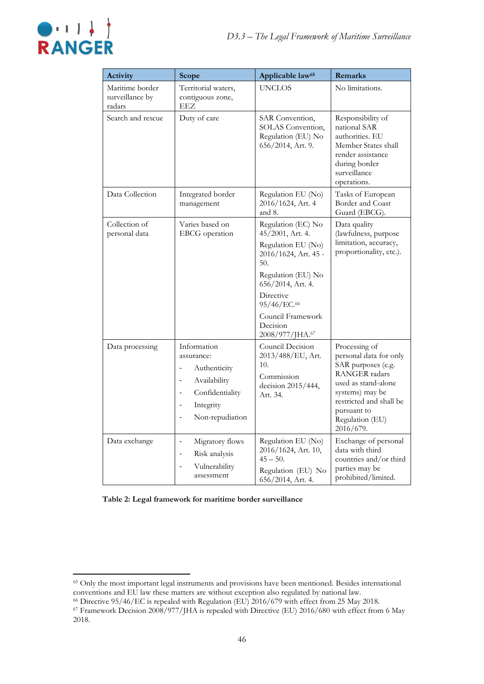# RANGER

**.** 

| <b>Activity</b>                              | Scope                                                                                                         | Applicable law <sup>65</sup>                                                                                                                                                                                                       | <b>Remarks</b>                                                                                                                                                                                     |
|----------------------------------------------|---------------------------------------------------------------------------------------------------------------|------------------------------------------------------------------------------------------------------------------------------------------------------------------------------------------------------------------------------------|----------------------------------------------------------------------------------------------------------------------------------------------------------------------------------------------------|
| Maritime border<br>surveillance by<br>radars | Territorial waters,<br>contiguous zone,<br>EEZ                                                                | <b>UNCLOS</b>                                                                                                                                                                                                                      | No limitations.                                                                                                                                                                                    |
| Search and rescue                            | Duty of care                                                                                                  | SAR Convention,<br>SOLAS Convention,<br>Regulation (EU) No<br>656/2014, Art. 9.                                                                                                                                                    | Responsibility of<br>national SAR<br>authorities. EU<br>Member States shall<br>render assistance<br>during border<br>surveillance<br>operations.                                                   |
| Data Collection                              | Integrated border<br>management                                                                               | Regulation EU (No)<br>2016/1624, Art. 4<br>and 8.                                                                                                                                                                                  | Tasks of European<br>Border and Coast<br>Guard (EBCG).                                                                                                                                             |
| Collection of<br>personal data               | Varies based on<br><b>EBCG</b> operation                                                                      | Regulation (EC) No<br>45/2001, Art. 4.<br>Regulation EU (No)<br>2016/1624, Art. 45 -<br>50.<br>Regulation (EU) No<br>656/2014, Art. 4.<br>Directive<br>95/46/EC.66<br>Council Framework<br>Decision<br>2008/977/JHA. <sup>67</sup> | Data quality<br>(lawfulness, purpose<br>limitation, accuracy,<br>proportionality, etc.).                                                                                                           |
| Data processing                              | Information<br>assurance:<br>Authenticity<br>Availability<br>Confidentiality<br>Integrity<br>Non-repudiation  | Council Decision<br>2013/488/EU, Art.<br>10.<br>Commission<br>decision 2015/444,<br>Art. 34.                                                                                                                                       | Processing of<br>personal data for only<br>SAR purposes (e.g.<br>RANGER radars<br>used as stand-alone<br>systems) may be<br>restricted and shall be<br>pursuant to<br>Regulation (EU)<br>2016/679. |
| Data exchange                                | Migratory flows<br>$\overline{a}$<br>Risk analysis<br>$\overline{\phantom{a}}$<br>Vulnerability<br>assessment | Regulation EU (No)<br>2016/1624, Art. 10,<br>$45 - 50.$<br>Regulation (EU) No<br>656/2014, Art. 4.                                                                                                                                 | Exchange of personal<br>data with third<br>countries and/or third<br>parties may be<br>prohibited/limited.                                                                                         |

<span id="page-45-0"></span>**Table 2: Legal framework for maritime border surveillance**

<sup>65</sup> Only the most important legal instruments and provisions have been mentioned. Besides international conventions and EU law these matters are without exception also regulated by national law.

<sup>&</sup>lt;sup>66</sup> Directive 95/46/EC is repealed with Regulation (EU) 2016/679 with effect from 25 May 2018.

<sup>67</sup> Framework Decision 2008/977/JHA is repealed with Directive (EU) 2016/680 with effect from 6 May 2018.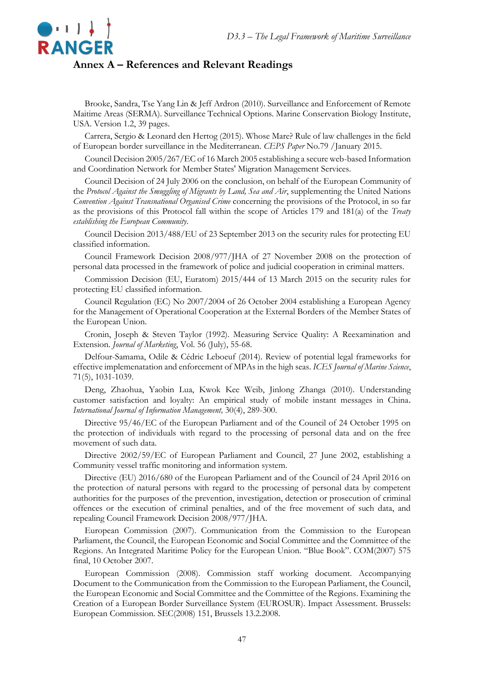

## <span id="page-46-0"></span>**Annex A – References and Relevant Readings**

Brooke, Sandra, Tse Yang Lin & Jeff Ardron (2010). Surveillance and Enforcement of Remote Maitime Areas (SERMA). Surveillance Technical Options. Marine Conservation Biology Institute, USA. Version 1.2, 39 pages.

Carrera, Sergio & Leonard den Hertog (2015). Whose Mare? Rule of law challenges in the field of European border surveillance in the Mediterranean. *CEPS Paper* No.79 /January 2015.

Council Decision 2005/267/EC of 16 March 2005 establishing a secure web-based Information and Coordination Network for Member States' Migration Management Services.

Council Decision of 24 July 2006 on the conclusion, on behalf of the European Community of the *Protocol Against the Smuggling of Migrants by Land, Sea and Air*, supplementing the United Nations *Convention Against Transnational Organised Crime* concerning the provisions of the Protocol, in so far as the provisions of this Protocol fall within the scope of Articles 179 and 181(a) of the *Treaty establishing the European Community*.

Council Decision 2013/488/EU of 23 September 2013 on the security rules for protecting EU classified information.

Council Framework Decision 2008/977/JHA of 27 November 2008 on the protection of personal data processed in the framework of police and judicial cooperation in criminal matters.

Commission Decision (EU, Euratom) 2015/444 of 13 March 2015 on the security rules for protecting EU classified information.

Council Regulation (EC) No 2007/2004 of 26 October 2004 establishing a European Agency for the Management of Operational Cooperation at the External Borders of the Member States of the European Union.

Cronin, Joseph & Steven Taylor (1992). Measuring Service Quality: A Reexamination and Extension. *Journal of Marketing*, Vol. 56 (July), 55-68.

Delfour-Samama, Odile & Cédric Leboeuf (2014). Review of potential legal frameworks for effective implemenatation and enforcement of MPAs in the high seas. *ICES Journal of Marine Science*, 71(5), 1031-1039.

Deng, Zhaohua, Yaobin Lua, Kwok Kee Weib, Jinlong Zhanga (2010). Understanding customer satisfaction and loyalty: An empirical study of mobile instant messages in China. *International Journal of Information Management,* 30(4), 289-300.

Directive 95/46/EC of the European Parliament and of the Council of 24 October 1995 on the protection of individuals with regard to the processing of personal data and on the free movement of such data.

Directive 2002/59/EC of European Parliament and Council, 27 June 2002, establishing a Community vessel traffic monitoring and information system.

Directive (EU) 2016/680 of the European Parliament and of the Council of 24 April 2016 on the protection of natural persons with regard to the processing of personal data by competent authorities for the purposes of the prevention, investigation, detection or prosecution of criminal offences or the execution of criminal penalties, and of the free movement of such data, and repealing Council Framework Decision 2008/977/JHA.

European Commission (2007). Communication from the Commission to the European Parliament, the Council, the European Economic and Social Committee and the Committee of the Regions. An Integrated Maritime Policy for the European Union. "Blue Book". COM(2007) 575 final, 10 October 2007.

European Commission (2008). Commission staff working document. Accompanying Document to the Communication from the Commission to the European Parliament, the Council, the European Economic and Social Committee and the Committee of the Regions. Examining the Creation of a European Border Surveillance System (EUROSUR). Impact Assessment. Brussels: European Commission. SEC(2008) 151, Brussels 13.2.2008.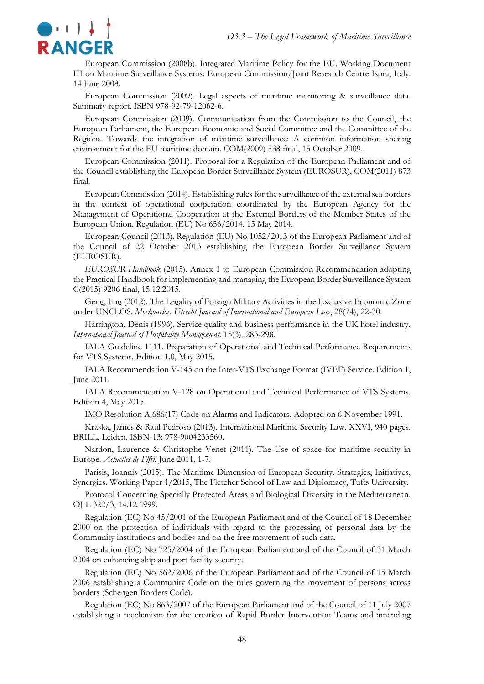

European Commission (2008b). Integrated Maritime Policy for the EU. Working Document III on Maritime Surveillance Systems. European Commission/Joint Research Centre Ispra, Italy. 14 June 2008.

European Commission (2009). Legal aspects of maritime monitoring & surveillance data. Summary report. ISBN 978-92-79-12062-6.

European Commission (2009). Communication from the Commission to the Council, the European Parliament, the European Economic and Social Committee and the Committee of the Regions. Towards the integration of maritime surveillance: A common information sharing environment for the EU maritime domain. COM(2009) 538 final, 15 October 2009.

European Commission (2011). Proposal for a Regulation of the European Parliament and of the Council establishing the European Border Surveillance System (EUROSUR), COM(2011) 873 final.

European Commission (2014). Establishing rules for the surveillance of the external sea borders in the context of operational cooperation coordinated by the European Agency for the Management of Operational Cooperation at the External Borders of the Member States of the European Union. Regulation (EU) No 656/2014, 15 May 2014.

European Council (2013). Regulation (EU) No 1052/2013 of the European Parliament and of the Council of 22 October 2013 establishing the European Border Surveillance System (EUROSUR).

*EUROSUR Handbook* (2015). Annex 1 to European Commission Recommendation adopting the Practical Handbook for implementing and managing the European Border Surveillance System C(2015) 9206 final, 15.12.2015.

Geng, Jing (2012). The Legality of Foreign Military Activities in the Exclusive Economic Zone under UNCLOS. *Merkourios. Utrecht Journal of International and European Law*, 28(74), 22-30.

Harrington, Denis (1996). Service quality and business performance in the UK hotel industry. *International Journal of Hospitality Management,* 15(3), 283-298.

IALA Guideline 1111. Preparation of Operational and Technical Performance Requirements for VTS Systems. Edition 1.0, May 2015.

IALA Recommendation V-145 on the Inter-VTS Exchange Format (IVEF) Service. Edition 1, June 2011.

IALA Recommendation V-128 on Operational and Technical Performance of VTS Systems. Edition 4, May 2015.

IMO Resolution A.686(17) Code on Alarms and Indicators. Adopted on 6 November 1991.

Kraska, James & Raul Pedroso (2013). International Maritime Security Law. XXVI, 940 pages. BRILL, Leiden. ISBN-13: 978-9004233560.

Nardon, Laurence & Christophe Venet (2011). The Use of space for maritime security in Europe. *Actuelles de I'lfri*, June 2011, 1-7.

Parisis, Ioannis (2015). The Maritime Dimension of European Security. Strategies, Initiatives, Synergies. Working Paper 1/2015, The Fletcher School of Law and Diplomacy, Tufts University.

Protocol Concerning Specially Protected Areas and Biological Diversity in the Mediterranean. OJ L 322/3, 14.12.1999.

Regulation (EC) No 45/2001 of the European Parliament and of the Council of 18 December 2000 on the protection of individuals with regard to the processing of personal data by the Community institutions and bodies and on the free movement of such data.

Regulation (EC) No 725/2004 of the European Parliament and of the Council of 31 March 2004 on enhancing ship and port facility security.

Regulation (EC) No 562/2006 of the European Parliament and of the Council of 15 March 2006 establishing a Community Code on the rules governing the movement of persons across borders (Schengen Borders Code).

Regulation (EC) No 863/2007 of the European Parliament and of the Council of 11 July 2007 establishing a mechanism for the creation of Rapid Border Intervention Teams and amending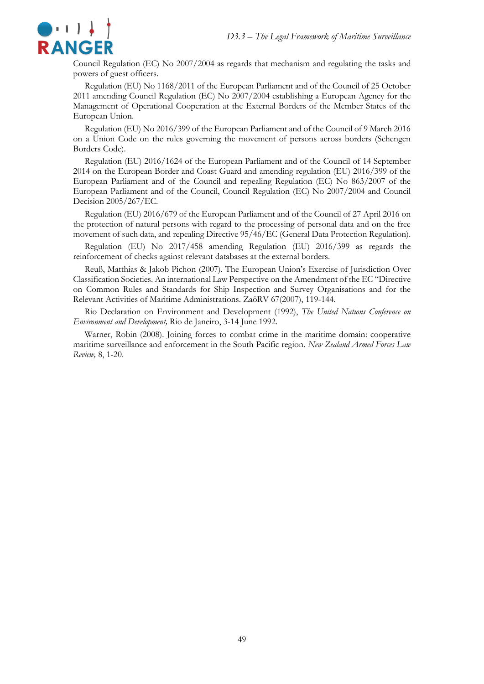

Council Regulation (EC) No 2007/2004 as regards that mechanism and regulating the tasks and powers of guest officers.

Regulation (EU) No 1168/2011 of the European Parliament and of the Council of 25 October 2011 amending Council Regulation (EC) No 2007/2004 establishing a European Agency for the Management of Operational Cooperation at the External Borders of the Member States of the European Union.

Regulation (EU) No 2016/399 of the European Parliament and of the Council of 9 March 2016 on a Union Code on the rules governing the movement of persons across borders (Schengen Borders Code).

Regulation (EU) 2016/1624 of the European Parliament and of the Council of 14 September 2014 on the European Border and Coast Guard and amending regulation (EU) 2016/399 of the European Parliament and of the Council and repealing Regulation (EC) No 863/2007 of the European Parliament and of the Council, Council Regulation (EC) No 2007/2004 and Council Decision 2005/267/EC.

Regulation (EU) 2016/679 of the European Parliament and of the Council of 27 April 2016 on the protection of natural persons with regard to the processing of personal data and on the free movement of such data, and repealing Directive 95/46/EC (General Data Protection Regulation).

Regulation (EU) No 2017/458 amending Regulation (EU) 2016/399 as regards the reinforcement of checks against relevant databases at the external borders.

Reuß, Matthias & Jakob Pichon (2007). The European Union's Exercise of Jurisdiction Over Classification Societies. An international Law Perspective on the Amendment of the EC "Directive on Common Rules and Standards for Ship Inspection and Survey Organisations and for the Relevant Activities of Maritime Administrations. ZaöRV 67(2007), 119-144.

Rio Declaration on Environment and Development (1992), *The United Nations Conference on Environment and Development,* Rio de Janeiro, 3-14 June 1992.

Warner, Robin (2008). Joining forces to combat crime in the maritime domain: cooperative maritime surveillance and enforcement in the South Pacific region. *New Zealand Armed Forces Law Review,* 8, 1-20.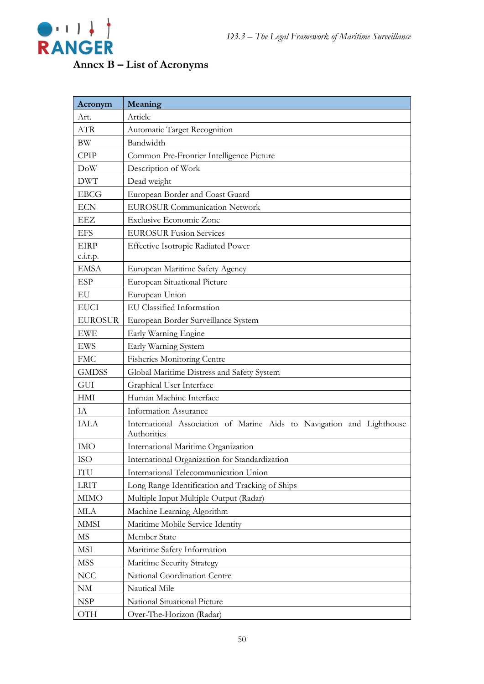

<span id="page-49-0"></span>

| Acronym        | Meaning                                                                              |
|----------------|--------------------------------------------------------------------------------------|
| Art.           | Article                                                                              |
| <b>ATR</b>     | Automatic Target Recognition                                                         |
| BW             | Bandwidth                                                                            |
| <b>CPIP</b>    | Common Pre-Frontier Intelligence Picture                                             |
| <b>DoW</b>     | Description of Work                                                                  |
| <b>DWT</b>     | Dead weight                                                                          |
| <b>EBCG</b>    | European Border and Coast Guard                                                      |
| <b>ECN</b>     | <b>EUROSUR Communication Network</b>                                                 |
| <b>EEZ</b>     | <b>Exclusive Economic Zone</b>                                                       |
| <b>EFS</b>     | <b>EUROSUR Fusion Services</b>                                                       |
| <b>EIRP</b>    | Effective Isotropic Radiated Power                                                   |
| e.i.r.p.       |                                                                                      |
| <b>EMSA</b>    | European Maritime Safety Agency                                                      |
| <b>ESP</b>     | <b>European Situational Picture</b>                                                  |
| EU             | European Union                                                                       |
| <b>EUCI</b>    | EU Classified Information                                                            |
| <b>EUROSUR</b> | European Border Surveillance System                                                  |
| <b>EWE</b>     | Early Warning Engine                                                                 |
| <b>EWS</b>     | Early Warning System                                                                 |
| <b>FMC</b>     | <b>Fisheries Monitoring Centre</b>                                                   |
| <b>GMDSS</b>   | Global Maritime Distress and Safety System                                           |
| GUI            | Graphical User Interface                                                             |
| <b>HMI</b>     | Human Machine Interface                                                              |
| IA             | Information Assurance                                                                |
| <b>IALA</b>    | International Association of Marine Aids to Navigation and Lighthouse<br>Authorities |
| <b>IMO</b>     | International Maritime Organization                                                  |
| <b>ISO</b>     | International Organization for Standardization                                       |
| <b>ITU</b>     | International Telecommunication Union                                                |
| <b>LRIT</b>    | Long Range Identification and Tracking of Ships                                      |
| <b>MIMO</b>    | Multiple Input Multiple Output (Radar)                                               |
| <b>MLA</b>     | Machine Learning Algorithm                                                           |
| <b>MMSI</b>    | Maritime Mobile Service Identity                                                     |
| MS             | Member State                                                                         |
| MSI            | Maritime Safety Information                                                          |
| <b>MSS</b>     | Maritime Security Strategy                                                           |
| <b>NCC</b>     | National Coordination Centre                                                         |
| $\rm{NM}$      | Nautical Mile                                                                        |
| <b>NSP</b>     | National Situational Picture                                                         |
| <b>OTH</b>     | Over-The-Horizon (Radar)                                                             |